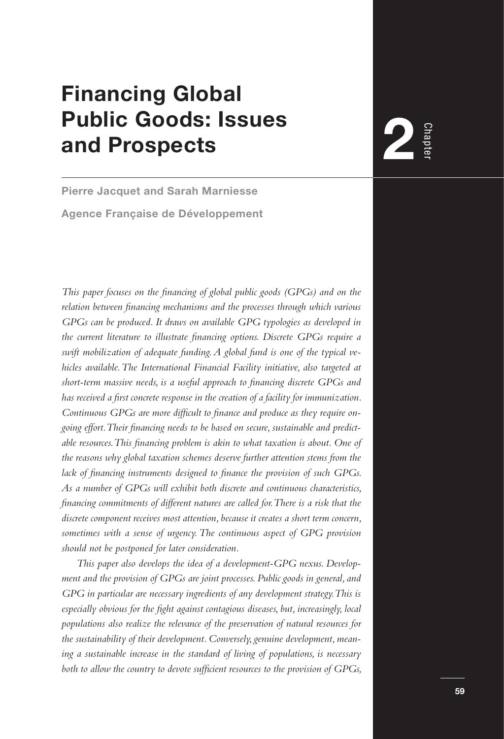# **Financing Global Public Goods: Issues and Prospects**

**Pierre Jacquet and Sarah Marniesse Agence Française de Développement**

*This paper focuses on the financing of global public goods (GPGs) and on the relation between financing mechanisms and the processes through which various GPGs can be produced. It draws on available GPG typologies as developed in the current literature to illustrate financing options. Discrete GPGs require a swift mobilization of adequate funding. A global fund is one of the typical vehicles available. The International Financial Facility initiative, also targeted at short-term massive needs, is a useful approach to financing discrete GPGs and has received a first concrete response in the creation of a facility for immunization. Continuous GPGs are more difficult to finance and produce as they require ongoing effort. Their financing needs to be based on secure, sustainable and predictable resources. This financing problem is akin to what taxation is about. One of the reasons why global taxation schemes deserve further attention stems from the lack of financing instruments designed to finance the provision of such GPGs. As a number of GPGs will exhibit both discrete and continuous characteristics, financing commitments of different natures are called for. There is a risk that the discrete component receives most attention, because it creates a short term concern, sometimes with a sense of urgency. The continuous aspect of GPG provision should not be postponed for later consideration.*

*This paper also develops the idea of a development-GPG nexus. Development and the provision of GPGs are joint processes. Public goods in general, and GPG in particular are necessary ingredients of any development strategy. This is especially obvious for the fight against contagious diseases, but, increasingly, local populations also realize the relevance of the preservation of natural resources for the sustainability of their development. Conversely, genuine development, meaning a sustainable increase in the standard of living of populations, is necessary both to allow the country to devote sufficient resources to the provision of GPGs,* 

Chapt<sub>t</sub> **2**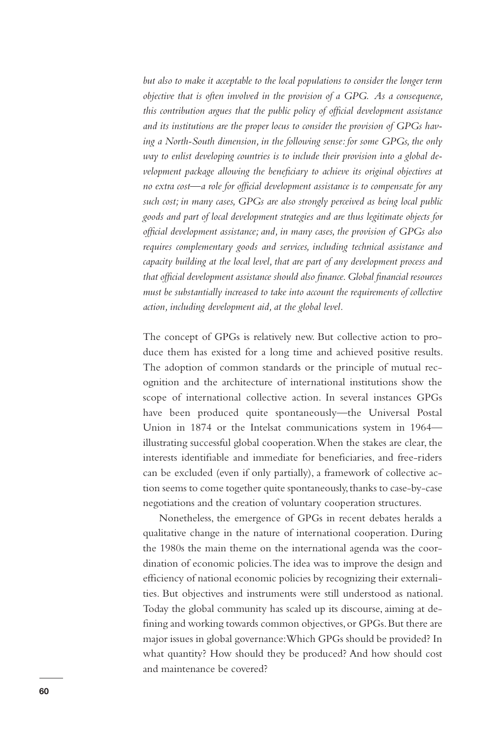*but also to make it acceptable to the local populations to consider the longer term objective that is often involved in the provision of a GPG. As a consequence, this contribution argues that the public policy of official development assistance and its institutions are the proper locus to consider the provision of GPGs having a North-South dimension, in the following sense: for some GPGs, the only way to enlist developing countries is to include their provision into a global development package allowing the beneficiary to achieve its original objectives at no extra cost—a role for official development assistance is to compensate for any such cost; in many cases, GPGs are also strongly perceived as being local public goods and part of local development strategies and are thus legitimate objects for official development assistance; and, in many cases, the provision of GPGs also requires complementary goods and services, including technical assistance and capacity building at the local level, that are part of any development process and that official development assistance should also finance. Global financial resources must be substantially increased to take into account the requirements of collective action, including development aid, at the global level.* 

The concept of GPGs is relatively new. But collective action to produce them has existed for a long time and achieved positive results. The adoption of common standards or the principle of mutual recognition and the architecture of international institutions show the scope of international collective action. In several instances GPGs have been produced quite spontaneously—the Universal Postal Union in 1874 or the Intelsat communications system in 1964 illustrating successful global cooperation. When the stakes are clear, the interests identifiable and immediate for beneficiaries, and free-riders can be excluded (even if only partially), a framework of collective action seems to come together quite spontaneously, thanks to case-by-case negotiations and the creation of voluntary cooperation structures.

Nonetheless, the emergence of GPGs in recent debates heralds a qualitative change in the nature of international cooperation. During the 1980s the main theme on the international agenda was the coordination of economic policies. The idea was to improve the design and efficiency of national economic policies by recognizing their externalities. But objectives and instruments were still understood as national. Today the global community has scaled up its discourse, aiming at defining and working towards common objectives, or GPGs. But there are major issues in global governance: Which GPGs should be provided? In what quantity? How should they be produced? And how should cost and maintenance be covered?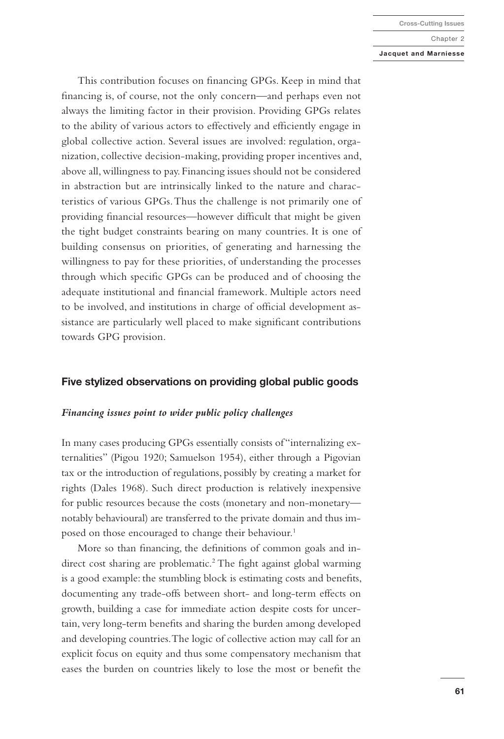#### **Jacquet and Marniesse**

This contribution focuses on financing GPGs. Keep in mind that financing is, of course, not the only concern—and perhaps even not always the limiting factor in their provision. Providing GPGs relates to the ability of various actors to effectively and efficiently engage in global collective action. Several issues are involved: regulation, organization, collective decision-making, providing proper incentives and, above all, willingness to pay. Financing issues should not be considered in abstraction but are intrinsically linked to the nature and characteristics of various GPGs. Thus the challenge is not primarily one of providing financial resources—however difficult that might be given the tight budget constraints bearing on many countries. It is one of building consensus on priorities, of generating and harnessing the willingness to pay for these priorities, of understanding the processes through which specific GPGs can be produced and of choosing the adequate institutional and financial framework. Multiple actors need to be involved, and institutions in charge of official development assistance are particularly well placed to make significant contributions towards GPG provision.

## **Five stylized observations on providing global public goods**

## *Financing issues point to wider public policy challenges*

In many cases producing GPGs essentially consists of "internalizing externalities" (Pigou 1920; Samuelson 1954), either through a Pigovian tax or the introduction of regulations, possibly by creating a market for rights (Dales 1968). Such direct production is relatively inexpensive for public resources because the costs (monetary and non-monetary notably behavioural) are transferred to the private domain and thus imposed on those encouraged to change their behaviour.<sup>1</sup>

More so than financing, the definitions of common goals and indirect cost sharing are problematic.<sup>2</sup> The fight against global warming is a good example: the stumbling block is estimating costs and benefits, documenting any trade-offs between short- and long-term effects on growth, building a case for immediate action despite costs for uncertain, very long-term benefits and sharing the burden among developed and developing countries. The logic of collective action may call for an explicit focus on equity and thus some compensatory mechanism that eases the burden on countries likely to lose the most or benefit the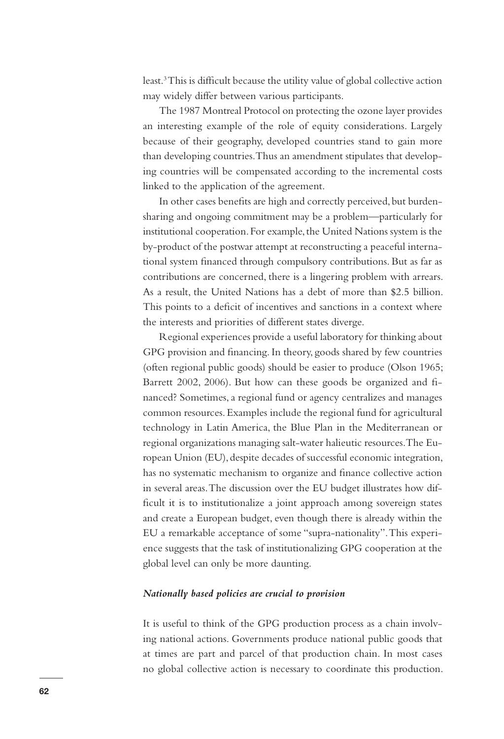least.3 This is difficult because the utility value of global collective action may widely differ between various participants.

The 1987 Montreal Protocol on protecting the ozone layer provides an interesting example of the role of equity considerations. Largely because of their geography, developed countries stand to gain more than developing countries. Thus an amendment stipulates that developing countries will be compensated according to the incremental costs linked to the application of the agreement.

In other cases benefits are high and correctly perceived, but burdensharing and ongoing commitment may be a problem—particularly for institutional cooperation. For example, the United Nations system is the by-product of the postwar attempt at reconstructing a peaceful international system financed through compulsory contributions. But as far as contributions are concerned, there is a lingering problem with arrears. As a result, the United Nations has a debt of more than \$2.5 billion. This points to a deficit of incentives and sanctions in a context where the interests and priorities of different states diverge.

Regional experiences provide a useful laboratory for thinking about GPG provision and financing. In theory, goods shared by few countries (often regional public goods) should be easier to produce (Olson 1965; Barrett 2002, 2006). But how can these goods be organized and financed? Sometimes, a regional fund or agency centralizes and manages common resources. Examples include the regional fund for agricultural technology in Latin America, the Blue Plan in the Mediterranean or regional organizations managing salt-water halieutic resources. The European Union (EU), despite decades of successful economic integration, has no systematic mechanism to organize and finance collective action in several areas. The discussion over the EU budget illustrates how difficult it is to institutionalize a joint approach among sovereign states and create a European budget, even though there is already within the EU a remarkable acceptance of some "supra-nationality". This experience suggests that the task of institutionalizing GPG cooperation at the global level can only be more daunting.

# *Nationally based policies are crucial to provision*

It is useful to think of the GPG production process as a chain involving national actions. Governments produce national public goods that at times are part and parcel of that production chain. In most cases no global collective action is necessary to coordinate this production.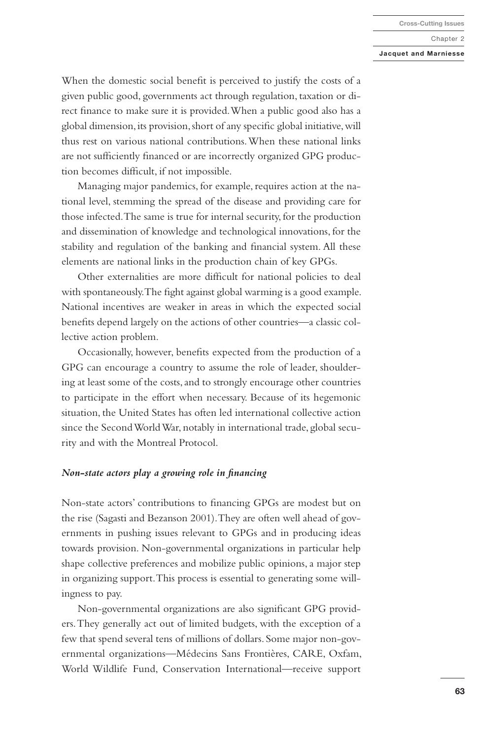#### **Jacquet and Marniesse**

When the domestic social benefit is perceived to justify the costs of a given public good, governments act through regulation, taxation or direct finance to make sure it is provided. When a public good also has a global dimension, its provision, short of any specific global initiative, will thus rest on various national contributions. When these national links are not sufficiently financed or are incorrectly organized GPG production becomes difficult, if not impossible.

Managing major pandemics, for example, requires action at the national level, stemming the spread of the disease and providing care for those infected. The same is true for internal security, for the production and dissemination of knowledge and technological innovations, for the stability and regulation of the banking and financial system. All these elements are national links in the production chain of key GPGs.

Other externalities are more difficult for national policies to deal with spontaneously. The fight against global warming is a good example. National incentives are weaker in areas in which the expected social benefits depend largely on the actions of other countries—a classic collective action problem.

Occasionally, however, benefits expected from the production of a GPG can encourage a country to assume the role of leader, shouldering at least some of the costs, and to strongly encourage other countries to participate in the effort when necessary. Because of its hegemonic situation, the United States has often led international collective action since the Second World War, notably in international trade, global security and with the Montreal Protocol.

## *Non-state actors play a growing role in financing*

Non-state actors' contributions to financing GPGs are modest but on the rise (Sagasti and Bezanson 2001). They are often well ahead of governments in pushing issues relevant to GPGs and in producing ideas towards provision. Non-governmental organizations in particular help shape collective preferences and mobilize public opinions, a major step in organizing support. This process is essential to generating some willingness to pay.

Non-governmental organizations are also significant GPG providers. They generally act out of limited budgets, with the exception of a few that spend several tens of millions of dollars. Some major non-governmental organizations—Médecins Sans Frontières, CARE, Oxfam, World Wildlife Fund, Conservation International—receive support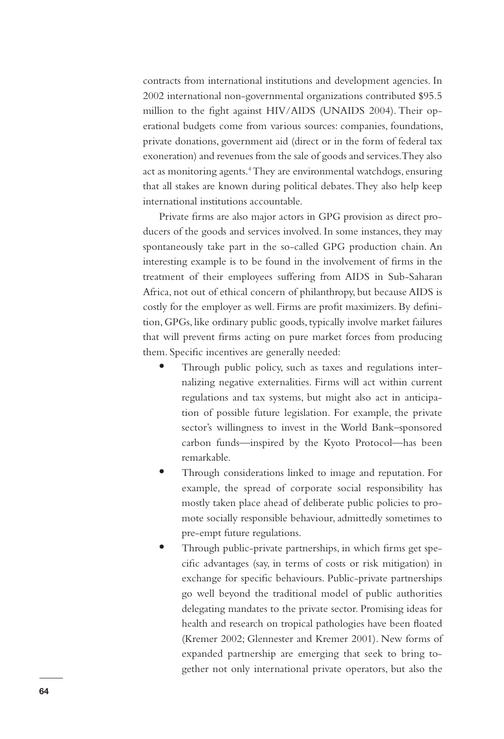contracts from international institutions and development agencies. In 2002 international non-governmental organizations contributed \$95.5 million to the fight against HIV/AIDS (UNAIDS 2004). Their operational budgets come from various sources: companies, foundations, private donations, government aid (direct or in the form of federal tax exoneration) and revenues from the sale of goods and services. They also act as monitoring agents.<sup>4</sup> They are environmental watchdogs, ensuring that all stakes are known during political debates. They also help keep international institutions accountable.

Private firms are also major actors in GPG provision as direct producers of the goods and services involved. In some instances, they may spontaneously take part in the so-called GPG production chain. An interesting example is to be found in the involvement of firms in the treatment of their employees suffering from AIDS in Sub-Saharan Africa, not out of ethical concern of philanthropy, but because AIDS is costly for the employer as well. Firms are profit maximizers. By definition, GPGs, like ordinary public goods, typically involve market failures that will prevent firms acting on pure market forces from producing them. Specific incentives are generally needed:

- **•** Through public policy, such as taxes and regulations internalizing negative externalities. Firms will act within current regulations and tax systems, but might also act in anticipation of possible future legislation. For example, the private sector's willingness to invest in the World Bank–sponsored carbon funds—inspired by the Kyoto Protocol—has been remarkable.
- **•** Through considerations linked to image and reputation. For example, the spread of corporate social responsibility has mostly taken place ahead of deliberate public policies to promote socially responsible behaviour, admittedly sometimes to pre-empt future regulations.
- **•** Through public-private partnerships, in which firms get specific advantages (say, in terms of costs or risk mitigation) in exchange for specific behaviours. Public-private partnerships go well beyond the traditional model of public authorities delegating mandates to the private sector. Promising ideas for health and research on tropical pathologies have been floated (Kremer 2002; Glennester and Kremer 2001). New forms of expanded partnership are emerging that seek to bring together not only international private operators, but also the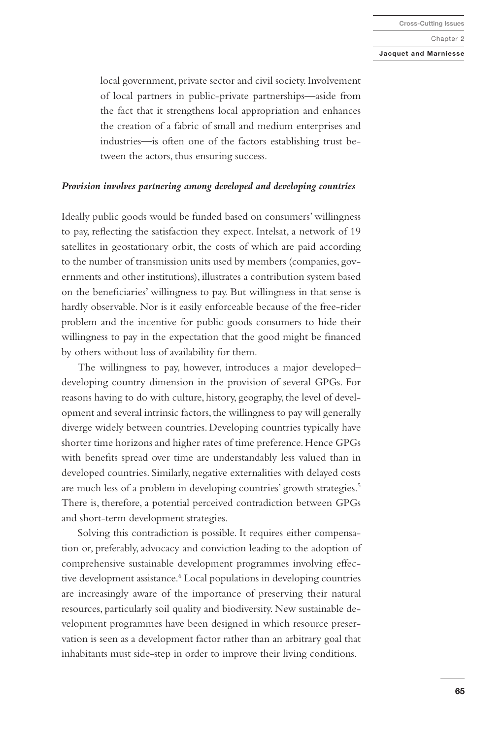#### **Jacquet and Marniesse**

local government, private sector and civil society. Involvement of local partners in public-private partnerships—aside from the fact that it strengthens local appropriation and enhances the creation of a fabric of small and medium enterprises and industries—is often one of the factors establishing trust between the actors, thus ensuring success.

## *Provision involves partnering among developed and developing countries*

Ideally public goods would be funded based on consumers' willingness to pay, reflecting the satisfaction they expect. Intelsat, a network of 19 satellites in geostationary orbit, the costs of which are paid according to the number of transmission units used by members (companies, governments and other institutions), illustrates a contribution system based on the beneficiaries' willingness to pay. But willingness in that sense is hardly observable. Nor is it easily enforceable because of the free-rider problem and the incentive for public goods consumers to hide their willingness to pay in the expectation that the good might be financed by others without loss of availability for them.

The willingness to pay, however, introduces a major developed– developing country dimension in the provision of several GPGs. For reasons having to do with culture, history, geography, the level of development and several intrinsic factors, the willingness to pay will generally diverge widely between countries. Developing countries typically have shorter time horizons and higher rates of time preference. Hence GPGs with benefits spread over time are understandably less valued than in developed countries. Similarly, negative externalities with delayed costs are much less of a problem in developing countries' growth strategies.<sup>5</sup> There is, therefore, a potential perceived contradiction between GPGs and short-term development strategies.

Solving this contradiction is possible. It requires either compensation or, preferably, advocacy and conviction leading to the adoption of comprehensive sustainable development programmes involving effective development assistance.<sup>6</sup> Local populations in developing countries are increasingly aware of the importance of preserving their natural resources, particularly soil quality and biodiversity. New sustainable development programmes have been designed in which resource preservation is seen as a development factor rather than an arbitrary goal that inhabitants must side-step in order to improve their living conditions.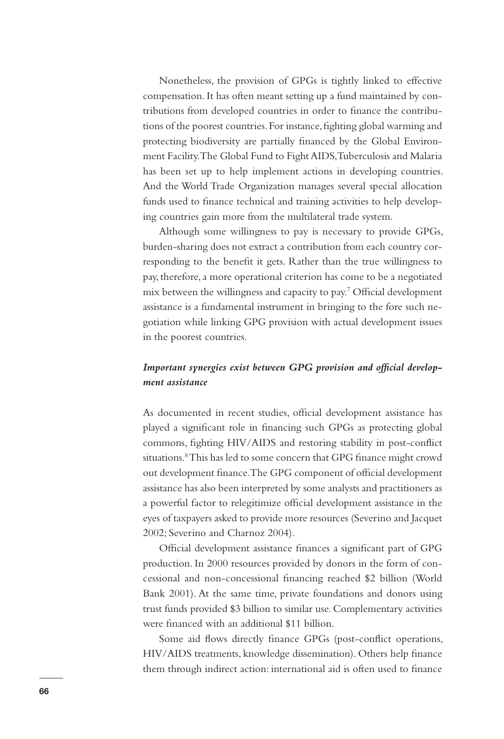Nonetheless, the provision of GPGs is tightly linked to effective compensation. It has often meant setting up a fund maintained by contributions from developed countries in order to finance the contributions of the poorest countries. For instance, fighting global warming and protecting biodiversity are partially financed by the Global Environment Facility. The Global Fund to Fight AIDS, Tuberculosis and Malaria has been set up to help implement actions in developing countries. And the World Trade Organization manages several special allocation funds used to finance technical and training activities to help developing countries gain more from the multilateral trade system.

Although some willingness to pay is necessary to provide GPGs, burden-sharing does not extract a contribution from each country corresponding to the benefit it gets. Rather than the true willingness to pay, therefore, a more operational criterion has come to be a negotiated mix between the willingness and capacity to pay.7 Official development assistance is a fundamental instrument in bringing to the fore such negotiation while linking GPG provision with actual development issues in the poorest countries.

# *Important synergies exist between GPG provision and official development assistance*

As documented in recent studies, official development assistance has played a significant role in financing such GPGs as protecting global commons, fighting HIV/AIDS and restoring stability in post-conflict situations.<sup>8</sup> This has led to some concern that GPG finance might crowd out development finance. The GPG component of official development assistance has also been interpreted by some analysts and practitioners as a powerful factor to relegitimize official development assistance in the eyes of taxpayers asked to provide more resources (Severino and Jacquet 2002; Severino and Charnoz 2004).

Official development assistance finances a significant part of GPG production. In 2000 resources provided by donors in the form of concessional and non-concessional financing reached \$2 billion (World Bank 2001). At the same time, private foundations and donors using trust funds provided \$3 billion to similar use. Complementary activities were financed with an additional \$11 billion.

Some aid flows directly finance GPGs (post-conflict operations, HIV/AIDS treatments, knowledge dissemination). Others help finance them through indirect action: international aid is often used to finance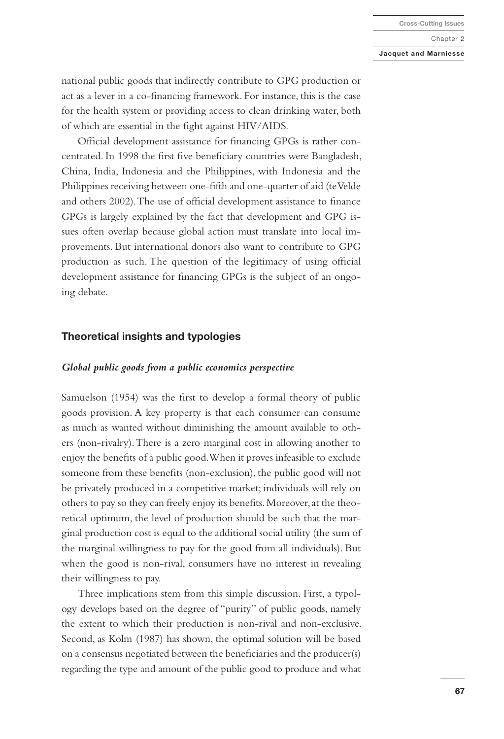#### **Jacquet and Marniesse**

national public goods that indirectly contribute to GPG production or act as a lever in a co-financing framework. For instance, this is the case for the health system or providing access to clean drinking water, both of which are essential in the fight against HIV/AIDS.

Official development assistance for financing GPGs is rather concentrated. In 1998 the first five beneficiary countries were Bangladesh, China, India, Indonesia and the Philippines, with Indonesia and the Philippines receiving between one-fifth and one-quarter of aid (te Velde and others 2002). The use of official development assistance to finance GPGs is largely explained by the fact that development and GPG issues often overlap because global action must translate into local improvements. But international donors also want to contribute to GPG production as such. The question of the legitimacy of using official development assistance for financing GPGs is the subject of an ongoing debate.

# **Theoretical insights and typologies**

# *Global public goods from a public economics perspective*

Samuelson (1954) was the first to develop a formal theory of public goods provision. A key property is that each consumer can consume as much as wanted without diminishing the amount available to others (non-rivalry). There is a zero marginal cost in allowing another to enjoy the benefits of a public good. When it proves infeasible to exclude someone from these benefits (non-exclusion), the public good will not be privately produced in a competitive market; individuals will rely on others to pay so they can freely enjoy its benefits. Moreover, at the theoretical optimum, the level of production should be such that the marginal production cost is equal to the additional social utility (the sum of the marginal willingness to pay for the good from all individuals). But when the good is non-rival, consumers have no interest in revealing their willingness to pay.

Three implications stem from this simple discussion. First, a typology develops based on the degree of "purity" of public goods, namely the extent to which their production is non-rival and non-exclusive. Second, as Kolm (1987) has shown, the optimal solution will be based on a consensus negotiated between the beneficiaries and the producer(s) regarding the type and amount of the public good to produce and what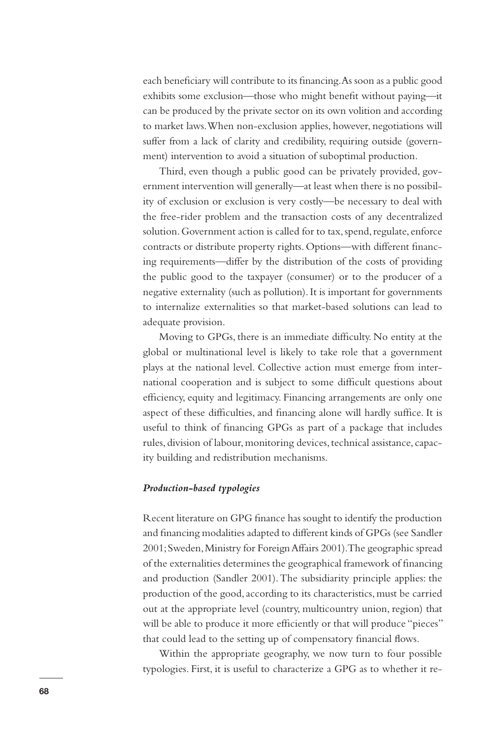each beneficiary will contribute to its financing. As soon as a public good exhibits some exclusion—those who might benefit without paying—it can be produced by the private sector on its own volition and according to market laws. When non-exclusion applies, however, negotiations will suffer from a lack of clarity and credibility, requiring outside (government) intervention to avoid a situation of suboptimal production.

Third, even though a public good can be privately provided, government intervention will generally—at least when there is no possibility of exclusion or exclusion is very costly—be necessary to deal with the free-rider problem and the transaction costs of any decentralized solution. Government action is called for to tax, spend, regulate, enforce contracts or distribute property rights. Options—with different financing requirements—differ by the distribution of the costs of providing the public good to the taxpayer (consumer) or to the producer of a negative externality (such as pollution). It is important for governments to internalize externalities so that market-based solutions can lead to adequate provision.

Moving to GPGs, there is an immediate difficulty. No entity at the global or multinational level is likely to take role that a government plays at the national level. Collective action must emerge from international cooperation and is subject to some difficult questions about efficiency, equity and legitimacy. Financing arrangements are only one aspect of these difficulties, and financing alone will hardly suffice. It is useful to think of financing GPGs as part of a package that includes rules, division of labour, monitoring devices, technical assistance, capacity building and redistribution mechanisms.

## *Production-based typologies*

Recent literature on GPG finance has sought to identify the production and financing modalities adapted to different kinds of GPGs (see Sandler 2001; Sweden, Ministry for Foreign Affairs 2001). The geographic spread of the externalities determines the geographical framework of financing and production (Sandler 2001). The subsidiarity principle applies: the production of the good, according to its characteristics, must be carried out at the appropriate level (country, multicountry union, region) that will be able to produce it more efficiently or that will produce "pieces" that could lead to the setting up of compensatory financial flows.

Within the appropriate geography, we now turn to four possible typologies. First, it is useful to characterize a GPG as to whether it re-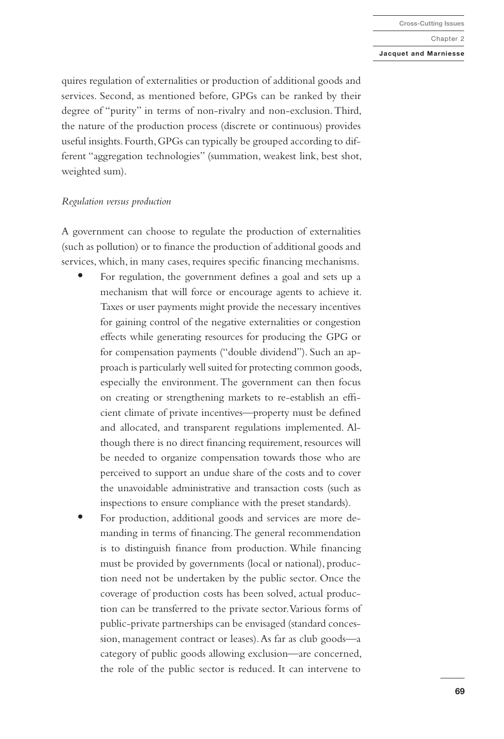#### **Jacquet and Marniesse**

quires regulation of externalities or production of additional goods and services. Second, as mentioned before, GPGs can be ranked by their degree of "purity" in terms of non-rivalry and non-exclusion. Third, the nature of the production process (discrete or continuous) provides useful insights. Fourth, GPGs can typically be grouped according to different "aggregation technologies" (summation, weakest link, best shot, weighted sum).

## *Regulation versus production*

A government can choose to regulate the production of externalities (such as pollution) or to finance the production of additional goods and services, which, in many cases, requires specific financing mechanisms.

- **•** For regulation, the government defines a goal and sets up a mechanism that will force or encourage agents to achieve it. Taxes or user payments might provide the necessary incentives for gaining control of the negative externalities or congestion effects while generating resources for producing the GPG or for compensation payments ("double dividend"). Such an approach is particularly well suited for protecting common goods, especially the environment. The government can then focus on creating or strengthening markets to re-establish an efficient climate of private incentives—property must be defined and allocated, and transparent regulations implemented. Although there is no direct financing requirement, resources will be needed to organize compensation towards those who are perceived to support an undue share of the costs and to cover the unavoidable administrative and transaction costs (such as inspections to ensure compliance with the preset standards).
- **•** For production, additional goods and services are more demanding in terms of financing. The general recommendation is to distinguish finance from production. While financing must be provided by governments (local or national), production need not be undertaken by the public sector. Once the coverage of production costs has been solved, actual production can be transferred to the private sector. Various forms of public-private partnerships can be envisaged (standard concession, management contract or leases). As far as club goods—a category of public goods allowing exclusion—are concerned, the role of the public sector is reduced. It can intervene to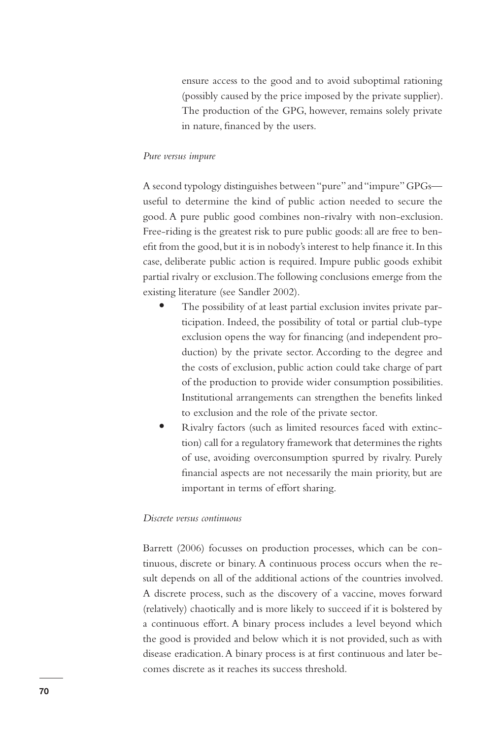ensure access to the good and to avoid suboptimal rationing (possibly caused by the price imposed by the private supplier). The production of the GPG, however, remains solely private in nature, financed by the users.

# *Pure versus impure*

A second typology distinguishes between "pure" and "impure" GPGs useful to determine the kind of public action needed to secure the good. A pure public good combines non-rivalry with non-exclusion. Free-riding is the greatest risk to pure public goods: all are free to benefit from the good, but it is in nobody's interest to help finance it. In this case, deliberate public action is required. Impure public goods exhibit partial rivalry or exclusion. The following conclusions emerge from the existing literature (see Sandler 2002).

- **•** The possibility of at least partial exclusion invites private participation. Indeed, the possibility of total or partial club-type exclusion opens the way for financing (and independent production) by the private sector. According to the degree and the costs of exclusion, public action could take charge of part of the production to provide wider consumption possibilities. Institutional arrangements can strengthen the benefits linked to exclusion and the role of the private sector.
- **•** Rivalry factors (such as limited resources faced with extinction) call for a regulatory framework that determines the rights of use, avoiding overconsumption spurred by rivalry. Purely financial aspects are not necessarily the main priority, but are important in terms of effort sharing.

# *Discrete versus continuous*

Barrett (2006) focusses on production processes, which can be continuous, discrete or binary. A continuous process occurs when the result depends on all of the additional actions of the countries involved. A discrete process, such as the discovery of a vaccine, moves forward (relatively) chaotically and is more likely to succeed if it is bolstered by a continuous effort. A binary process includes a level beyond which the good is provided and below which it is not provided, such as with disease eradication. A binary process is at first continuous and later becomes discrete as it reaches its success threshold.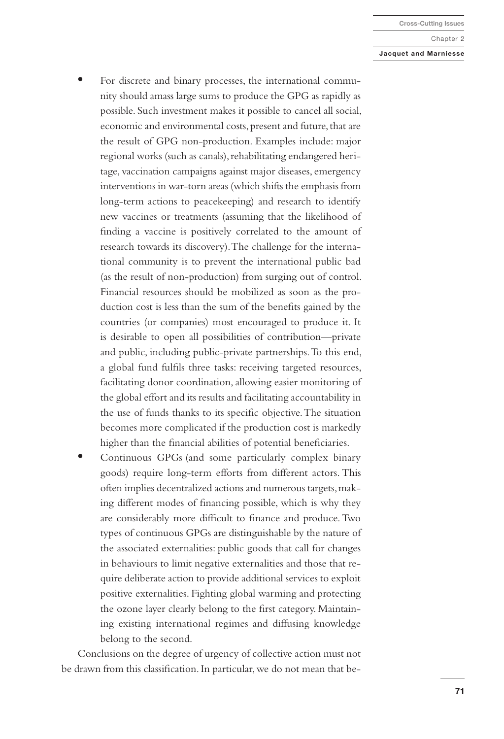#### **Jacquet and Marniesse**

- **•** For discrete and binary processes, the international community should amass large sums to produce the GPG as rapidly as possible. Such investment makes it possible to cancel all social, economic and environmental costs, present and future, that are the result of GPG non-production. Examples include: major regional works (such as canals), rehabilitating endangered heritage, vaccination campaigns against major diseases, emergency interventions in war-torn areas (which shifts the emphasis from long-term actions to peacekeeping) and research to identify new vaccines or treatments (assuming that the likelihood of finding a vaccine is positively correlated to the amount of research towards its discovery). The challenge for the international community is to prevent the international public bad (as the result of non-production) from surging out of control. Financial resources should be mobilized as soon as the production cost is less than the sum of the benefits gained by the countries (or companies) most encouraged to produce it. It is desirable to open all possibilities of contribution—private and public, including public-private partnerships. To this end, a global fund fulfils three tasks: receiving targeted resources, facilitating donor coordination, allowing easier monitoring of the global effort and its results and facilitating accountability in the use of funds thanks to its specific objective. The situation becomes more complicated if the production cost is markedly higher than the financial abilities of potential beneficiaries.
- **•** Continuous GPGs (and some particularly complex binary goods) require long-term efforts from different actors. This often implies decentralized actions and numerous targets, making different modes of financing possible, which is why they are considerably more difficult to finance and produce. Two types of continuous GPGs are distinguishable by the nature of the associated externalities: public goods that call for changes in behaviours to limit negative externalities and those that require deliberate action to provide additional services to exploit positive externalities. Fighting global warming and protecting the ozone layer clearly belong to the first category. Maintaining existing international regimes and diffusing knowledge belong to the second.

Conclusions on the degree of urgency of collective action must not be drawn from this classification. In particular, we do not mean that be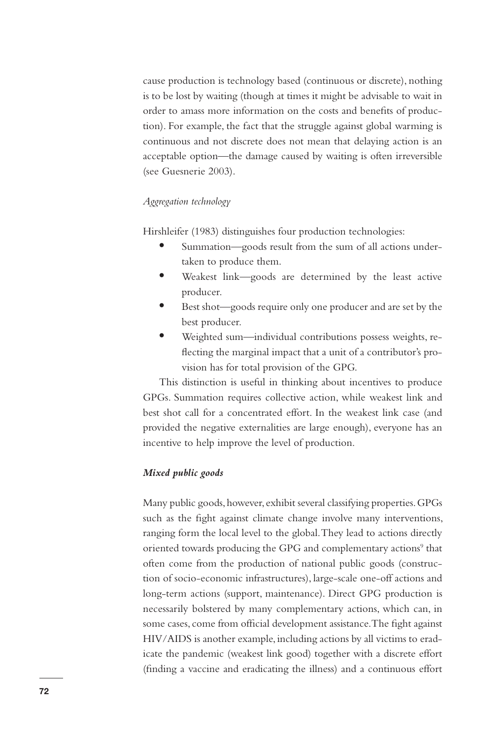cause production is technology based (continuous or discrete), nothing is to be lost by waiting (though at times it might be advisable to wait in order to amass more information on the costs and benefits of production). For example, the fact that the struggle against global warming is continuous and not discrete does not mean that delaying action is an acceptable option—the damage caused by waiting is often irreversible (see Guesnerie 2003).

# *Aggregation technology*

Hirshleifer (1983) distinguishes four production technologies:

- **•** Summation—goods result from the sum of all actions undertaken to produce them.
- **•** Weakest link—goods are determined by the least active producer.
- **•** Best shot—goods require only one producer and are set by the best producer.
- **•** Weighted sum—individual contributions possess weights, reflecting the marginal impact that a unit of a contributor's provision has for total provision of the GPG.

This distinction is useful in thinking about incentives to produce GPGs. Summation requires collective action, while weakest link and best shot call for a concentrated effort. In the weakest link case (and provided the negative externalities are large enough), everyone has an incentive to help improve the level of production.

## *Mixed public goods*

Many public goods, however, exhibit several classifying properties. GPGs such as the fight against climate change involve many interventions, ranging form the local level to the global. They lead to actions directly oriented towards producing the GPG and complementary actions<sup>9</sup> that often come from the production of national public goods (construction of socio-economic infrastructures), large-scale one-off actions and long-term actions (support, maintenance). Direct GPG production is necessarily bolstered by many complementary actions, which can, in some cases, come from official development assistance. The fight against HIV/AIDS is another example, including actions by all victims to eradicate the pandemic (weakest link good) together with a discrete effort (finding a vaccine and eradicating the illness) and a continuous effort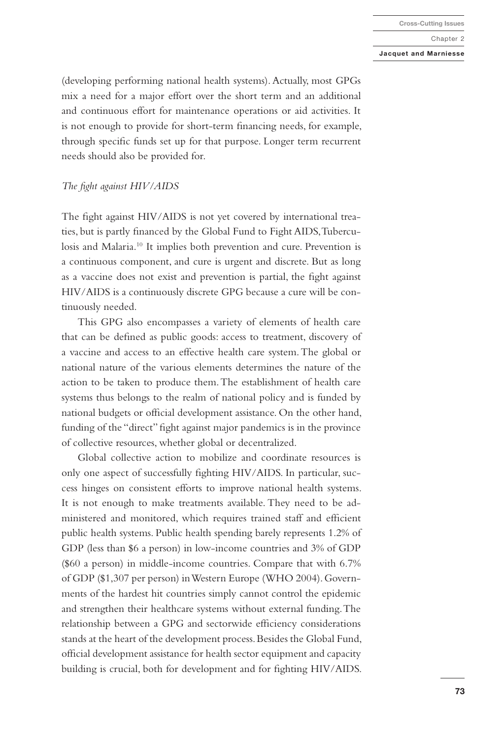#### **Jacquet and Marniesse**

(developing performing national health systems). Actually, most GPGs mix a need for a major effort over the short term and an additional and continuous effort for maintenance operations or aid activities. It is not enough to provide for short-term financing needs, for example, through specific funds set up for that purpose. Longer term recurrent needs should also be provided for.

## *The fight against HIV/AIDS*

The fight against HIV/AIDS is not yet covered by international treaties, but is partly financed by the Global Fund to Fight AIDS, Tuberculosis and Malaria.10 It implies both prevention and cure. Prevention is a continuous component, and cure is urgent and discrete. But as long as a vaccine does not exist and prevention is partial, the fight against HIV/AIDS is a continuously discrete GPG because a cure will be continuously needed.

This GPG also encompasses a variety of elements of health care that can be defined as public goods: access to treatment, discovery of a vaccine and access to an effective health care system. The global or national nature of the various elements determines the nature of the action to be taken to produce them. The establishment of health care systems thus belongs to the realm of national policy and is funded by national budgets or official development assistance. On the other hand, funding of the "direct" fight against major pandemics is in the province of collective resources, whether global or decentralized.

Global collective action to mobilize and coordinate resources is only one aspect of successfully fighting HIV/AIDS. In particular, success hinges on consistent efforts to improve national health systems. It is not enough to make treatments available. They need to be administered and monitored, which requires trained staff and efficient public health systems. Public health spending barely represents 1.2% of GDP (less than \$6 a person) in low-income countries and 3% of GDP (\$60 a person) in middle-income countries. Compare that with 6.7% of GDP (\$1,307 per person) in Western Europe (WHO 2004). Governments of the hardest hit countries simply cannot control the epidemic and strengthen their healthcare systems without external funding. The relationship between a GPG and sectorwide efficiency considerations stands at the heart of the development process. Besides the Global Fund, official development assistance for health sector equipment and capacity building is crucial, both for development and for fighting HIV/AIDS.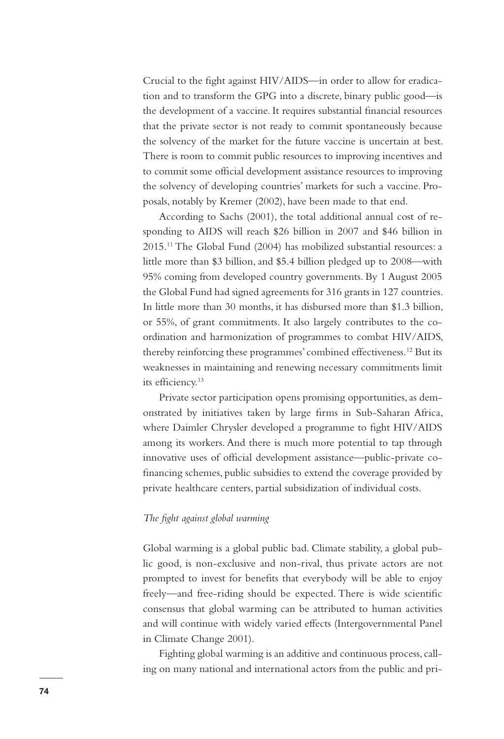Crucial to the fight against HIV/AIDS—in order to allow for eradication and to transform the GPG into a discrete, binary public good—is the development of a vaccine. It requires substantial financial resources that the private sector is not ready to commit spontaneously because the solvency of the market for the future vaccine is uncertain at best. There is room to commit public resources to improving incentives and to commit some official development assistance resources to improving the solvency of developing countries' markets for such a vaccine. Proposals, notably by Kremer (2002), have been made to that end.

According to Sachs (2001), the total additional annual cost of responding to AIDS will reach \$26 billion in 2007 and \$46 billion in 2015.11 The Global Fund (2004) has mobilized substantial resources: a little more than \$3 billion, and \$5.4 billion pledged up to 2008—with 95% coming from developed country governments. By 1 August 2005 the Global Fund had signed agreements for 316 grants in 127 countries. In little more than 30 months, it has disbursed more than \$1.3 billion, or 55%, of grant commitments. It also largely contributes to the coordination and harmonization of programmes to combat HIV/AIDS, thereby reinforcing these programmes' combined effectiveness.12 But its weaknesses in maintaining and renewing necessary commitments limit its efficiency.13

Private sector participation opens promising opportunities, as demonstrated by initiatives taken by large firms in Sub-Saharan Africa, where Daimler Chrysler developed a programme to fight HIV/AIDS among its workers. And there is much more potential to tap through innovative uses of official development assistance—public-private cofinancing schemes, public subsidies to extend the coverage provided by private healthcare centers, partial subsidization of individual costs.

# *The fight against global warming*

Global warming is a global public bad. Climate stability, a global public good, is non-exclusive and non-rival, thus private actors are not prompted to invest for benefits that everybody will be able to enjoy freely—and free-riding should be expected. There is wide scientific consensus that global warming can be attributed to human activities and will continue with widely varied effects (Intergovernmental Panel in Climate Change 2001).

Fighting global warming is an additive and continuous process, calling on many national and international actors from the public and pri-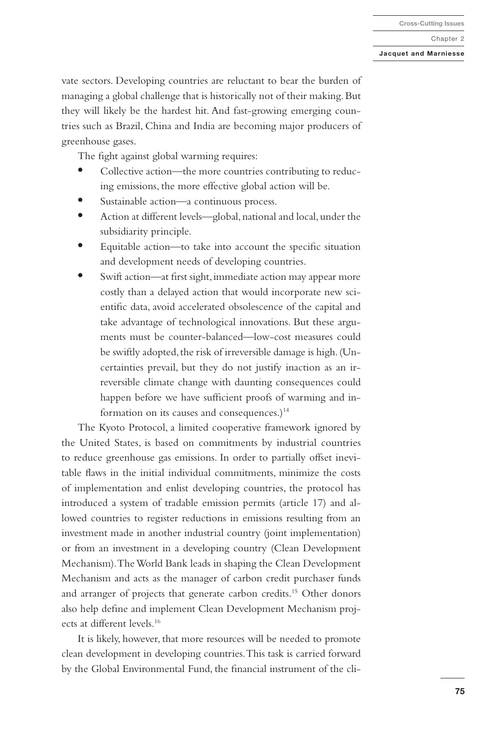#### **Jacquet and Marniesse**

vate sectors. Developing countries are reluctant to bear the burden of managing a global challenge that is historically not of their making. But they will likely be the hardest hit. And fast-growing emerging countries such as Brazil, China and India are becoming major producers of greenhouse gases.

The fight against global warming requires:

- **•** Collective action—the more countries contributing to reducing emissions, the more effective global action will be.
- **•** Sustainable action—a continuous process.
- **•** Action at different levels—global, national and local, under the subsidiarity principle.
- **•** Equitable action—to take into account the specific situation and development needs of developing countries.
- **•** Swift action—at first sight, immediate action may appear more costly than a delayed action that would incorporate new scientific data, avoid accelerated obsolescence of the capital and take advantage of technological innovations. But these arguments must be counter-balanced—low-cost measures could be swiftly adopted, the risk of irreversible damage is high. (Uncertainties prevail, but they do not justify inaction as an irreversible climate change with daunting consequences could happen before we have sufficient proofs of warming and information on its causes and consequences.) $14$

The Kyoto Protocol, a limited cooperative framework ignored by the United States, is based on commitments by industrial countries to reduce greenhouse gas emissions. In order to partially offset inevitable flaws in the initial individual commitments, minimize the costs of implementation and enlist developing countries, the protocol has introduced a system of tradable emission permits (article 17) and allowed countries to register reductions in emissions resulting from an investment made in another industrial country (joint implementation) or from an investment in a developing country (Clean Development Mechanism). The World Bank leads in shaping the Clean Development Mechanism and acts as the manager of carbon credit purchaser funds and arranger of projects that generate carbon credits.15 Other donors also help define and implement Clean Development Mechanism projects at different levels.16

It is likely, however, that more resources will be needed to promote clean development in developing countries. This task is carried forward by the Global Environmental Fund, the financial instrument of the cli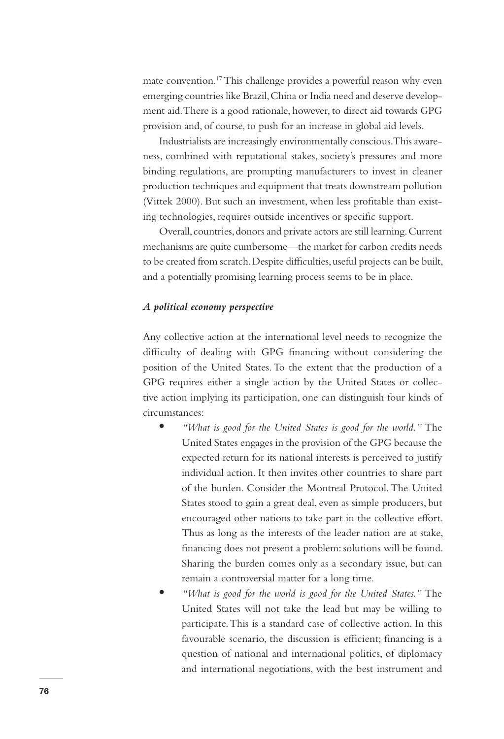mate convention.17 This challenge provides a powerful reason why even emerging countries like Brazil, China or India need and deserve development aid. There is a good rationale, however, to direct aid towards GPG provision and, of course, to push for an increase in global aid levels.

Industrialists are increasingly environmentally conscious. This awareness, combined with reputational stakes, society's pressures and more binding regulations, are prompting manufacturers to invest in cleaner production techniques and equipment that treats downstream pollution (Vittek 2000). But such an investment, when less profitable than existing technologies, requires outside incentives or specific support.

Overall, countries, donors and private actors are still learning. Current mechanisms are quite cumbersome—the market for carbon credits needs to be created from scratch. Despite difficulties, useful projects can be built, and a potentially promising learning process seems to be in place.

# *A political economy perspective*

Any collective action at the international level needs to recognize the difficulty of dealing with GPG financing without considering the position of the United States. To the extent that the production of a GPG requires either a single action by the United States or collective action implying its participation, one can distinguish four kinds of circumstances:

- **•** *"What is good for the United States is good for the world."* The United States engages in the provision of the GPG because the expected return for its national interests is perceived to justify individual action. It then invites other countries to share part of the burden. Consider the Montreal Protocol. The United States stood to gain a great deal, even as simple producers, but encouraged other nations to take part in the collective effort. Thus as long as the interests of the leader nation are at stake, financing does not present a problem: solutions will be found. Sharing the burden comes only as a secondary issue, but can remain a controversial matter for a long time.
- **•** *"What is good for the world is good for the United States."* The United States will not take the lead but may be willing to participate. This is a standard case of collective action. In this favourable scenario, the discussion is efficient; financing is a question of national and international politics, of diplomacy and international negotiations, with the best instrument and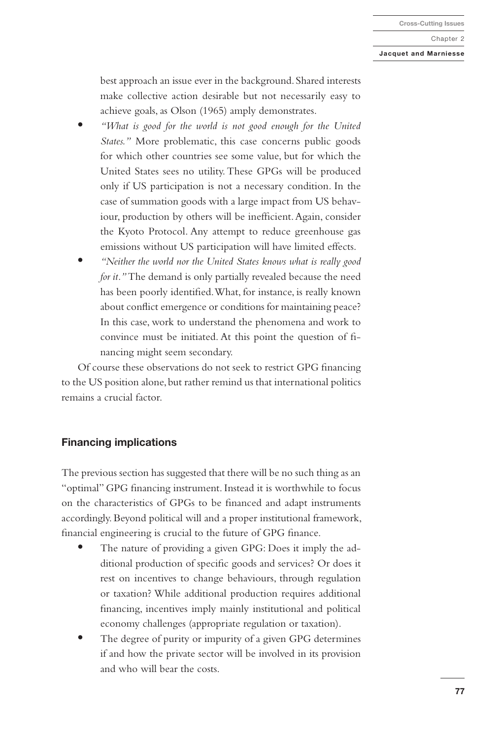## **Jacquet and Marniesse**

best approach an issue ever in the background. Shared interests make collective action desirable but not necessarily easy to achieve goals, as Olson (1965) amply demonstrates.

- **•** *"What is good for the world is not good enough for the United States."* More problematic, this case concerns public goods for which other countries see some value, but for which the United States sees no utility. These GPGs will be produced only if US participation is not a necessary condition. In the case of summation goods with a large impact from US behaviour, production by others will be inefficient. Again, consider the Kyoto Protocol. Any attempt to reduce greenhouse gas emissions without US participation will have limited effects.
- **•** *"Neither the world nor the United States knows what is really good for it."* The demand is only partially revealed because the need has been poorly identified. What, for instance, is really known about conflict emergence or conditions for maintaining peace? In this case, work to understand the phenomena and work to convince must be initiated. At this point the question of financing might seem secondary.

Of course these observations do not seek to restrict GPG financing to the US position alone, but rather remind us that international politics remains a crucial factor.

# **Financing implications**

The previous section has suggested that there will be no such thing as an "optimal" GPG financing instrument. Instead it is worthwhile to focus on the characteristics of GPGs to be financed and adapt instruments accordingly. Beyond political will and a proper institutional framework, financial engineering is crucial to the future of GPG finance.

- **•** The nature of providing a given GPG: Does it imply the additional production of specific goods and services? Or does it rest on incentives to change behaviours, through regulation or taxation? While additional production requires additional financing, incentives imply mainly institutional and political economy challenges (appropriate regulation or taxation).
- **•** The degree of purity or impurity of a given GPG determines if and how the private sector will be involved in its provision and who will bear the costs.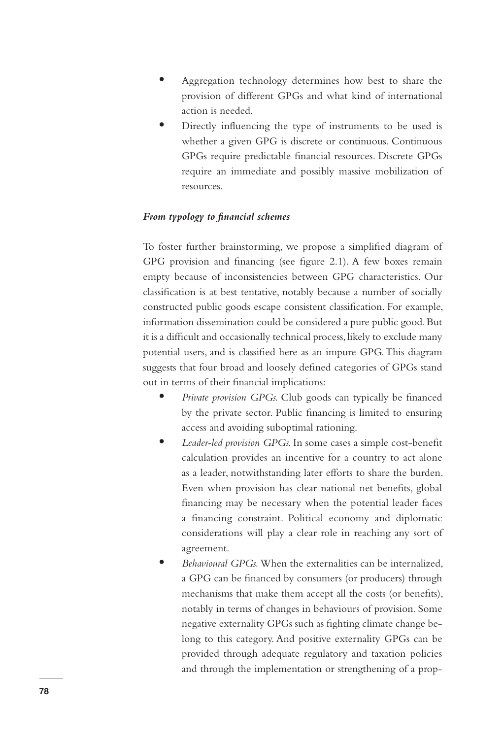- **•** Aggregation technology determines how best to share the provision of different GPGs and what kind of international action is needed.
- **•** Directly influencing the type of instruments to be used is whether a given GPG is discrete or continuous. Continuous GPGs require predictable financial resources. Discrete GPGs require an immediate and possibly massive mobilization of resources.

# *From typology to financial schemes*

To foster further brainstorming, we propose a simplified diagram of GPG provision and financing (see figure 2.1). A few boxes remain empty because of inconsistencies between GPG characteristics. Our classification is at best tentative, notably because a number of socially constructed public goods escape consistent classification. For example, information dissemination could be considered a pure public good. But it is a difficult and occasionally technical process, likely to exclude many potential users, and is classified here as an impure GPG. This diagram suggests that four broad and loosely defined categories of GPGs stand out in terms of their financial implications:

- **•** *Private provision GPGs.* Club goods can typically be financed by the private sector. Public financing is limited to ensuring access and avoiding suboptimal rationing.
- **•** *Leader-led provision GPGs.* In some cases a simple cost-benefit calculation provides an incentive for a country to act alone as a leader, notwithstanding later efforts to share the burden. Even when provision has clear national net benefits, global financing may be necessary when the potential leader faces a financing constraint. Political economy and diplomatic considerations will play a clear role in reaching any sort of agreement.
- **•** *Behavioural GPGs.* When the externalities can be internalized, a GPG can be financed by consumers (or producers) through mechanisms that make them accept all the costs (or benefits), notably in terms of changes in behaviours of provision. Some negative externality GPGs such as fighting climate change belong to this category. And positive externality GPGs can be provided through adequate regulatory and taxation policies and through the implementation or strengthening of a prop-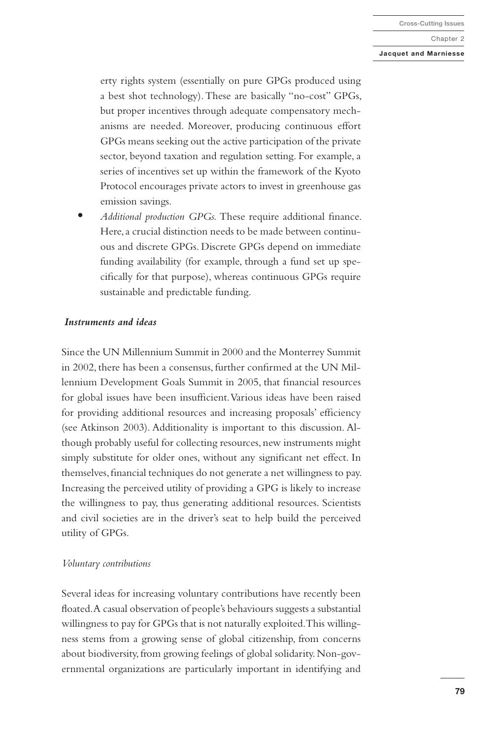#### **Jacquet and Marniesse**

erty rights system (essentially on pure GPGs produced using a best shot technology). These are basically "no-cost" GPGs, but proper incentives through adequate compensatory mechanisms are needed. Moreover, producing continuous effort GPGs means seeking out the active participation of the private sector, beyond taxation and regulation setting. For example, a series of incentives set up within the framework of the Kyoto Protocol encourages private actors to invest in greenhouse gas emission savings.

**•** *Additional production GPGs.* These require additional finance. Here, a crucial distinction needs to be made between continuous and discrete GPGs. Discrete GPGs depend on immediate funding availability (for example, through a fund set up specifically for that purpose), whereas continuous GPGs require sustainable and predictable funding.

## *Instruments and ideas*

Since the UN Millennium Summit in 2000 and the Monterrey Summit in 2002, there has been a consensus, further confirmed at the UN Millennium Development Goals Summit in 2005, that financial resources for global issues have been insufficient. Various ideas have been raised for providing additional resources and increasing proposals' efficiency (see Atkinson 2003). Additionality is important to this discussion. Although probably useful for collecting resources, new instruments might simply substitute for older ones, without any significant net effect. In themselves, financial techniques do not generate a net willingness to pay. Increasing the perceived utility of providing a GPG is likely to increase the willingness to pay, thus generating additional resources. Scientists and civil societies are in the driver's seat to help build the perceived utility of GPGs.

#### *Voluntary contributions*

Several ideas for increasing voluntary contributions have recently been floated. A casual observation of people's behaviours suggests a substantial willingness to pay for GPGs that is not naturally exploited. This willingness stems from a growing sense of global citizenship, from concerns about biodiversity, from growing feelings of global solidarity. Non-governmental organizations are particularly important in identifying and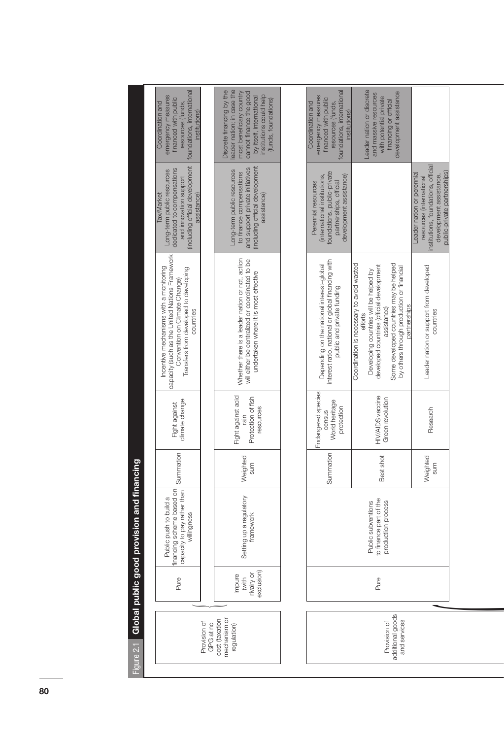| foundations, international<br>leader nation; in case the<br>foundations, international<br>Discrete financing by the<br>Leader nation or discrete<br>most beneficiary country<br>development assistance<br>cannot finance the good<br>and massive resources<br>institutions could help<br>emergency measures<br>by itself, international<br>emergency measures<br>with potential private<br>financed with public<br>financed with public<br>(funds, foundations)<br>financing or official<br>resources (funds,<br>Coordination and<br>resources (funds,<br>Coordination and<br>institutions)<br>institutions)<br>(including official development<br>and support private initiatives<br>(including official development<br>dedicated to compensations<br>Long-term public resources<br>Long-term public resources<br>to finance compensations<br>foundations, public-private<br>development assistance)<br>(international institutions,<br>and innovation support<br>partnerships, official<br>Perennial resources<br>assistance)<br>assistance)<br><b>Tax/Market</b><br>capacity (such as the United Nations Framework<br>Whether there is a leader nation or not, action<br>will either be centralized or coordinated to be<br>interest ratio, national or global financing with<br>Coordination is necessary to avoid wasted<br>Some developed countries may be helped<br>Depending on the national interest-global<br>developed countries (official development<br>by others through production or financial<br>Incentive mechanisms with a monitoring<br>Transfers from developed to developing<br>Developing countries will be helped by<br>undertaken where it is most effective<br>Convention on Climate Change)<br>public and private funding<br>partnerships<br>assistance)<br>countries<br>efforts<br>Endangered species<br>Fight against acid<br>HIV/AIDS vaccine<br>Protection of fish<br>Green revolution<br>climate change<br>World heritage<br>Fight against<br>protection<br>resources<br>census<br>rain<br>Summation<br>Summation<br>Weighted<br>Best shot<br>Sum<br>financing scheme based on<br>capacity to pay rather than<br>Setting up a regulatory<br>Public push to build a<br>to finance part of the<br>production process<br>Public subventions<br>willingness<br>tramework<br>exclusion)<br>rivalry or<br>Impure<br>(with<br>Pure<br>Pure<br>additional goods<br>mechanism or<br>cost (taxation<br>and services<br>Provision of<br>Provision of<br>GPG at no<br>regulation) |
|-------------------------------------------------------------------------------------------------------------------------------------------------------------------------------------------------------------------------------------------------------------------------------------------------------------------------------------------------------------------------------------------------------------------------------------------------------------------------------------------------------------------------------------------------------------------------------------------------------------------------------------------------------------------------------------------------------------------------------------------------------------------------------------------------------------------------------------------------------------------------------------------------------------------------------------------------------------------------------------------------------------------------------------------------------------------------------------------------------------------------------------------------------------------------------------------------------------------------------------------------------------------------------------------------------------------------------------------------------------------------------------------------------------------------------------------------------------------------------------------------------------------------------------------------------------------------------------------------------------------------------------------------------------------------------------------------------------------------------------------------------------------------------------------------------------------------------------------------------------------------------------------------------------------------------------------------------------------------------------------------------------------------------------------------------------------------------------------------------------------------------------------------------------------------------------------------------------------------------------------------------------------------------------------------------------------------------------------------------------------------------------------------------------------------------------------------------------------------------------------------------|
|                                                                                                                                                                                                                                                                                                                                                                                                                                                                                                                                                                                                                                                                                                                                                                                                                                                                                                                                                                                                                                                                                                                                                                                                                                                                                                                                                                                                                                                                                                                                                                                                                                                                                                                                                                                                                                                                                                                                                                                                                                                                                                                                                                                                                                                                                                                                                                                                                                                                                                       |
|                                                                                                                                                                                                                                                                                                                                                                                                                                                                                                                                                                                                                                                                                                                                                                                                                                                                                                                                                                                                                                                                                                                                                                                                                                                                                                                                                                                                                                                                                                                                                                                                                                                                                                                                                                                                                                                                                                                                                                                                                                                                                                                                                                                                                                                                                                                                                                                                                                                                                                       |
|                                                                                                                                                                                                                                                                                                                                                                                                                                                                                                                                                                                                                                                                                                                                                                                                                                                                                                                                                                                                                                                                                                                                                                                                                                                                                                                                                                                                                                                                                                                                                                                                                                                                                                                                                                                                                                                                                                                                                                                                                                                                                                                                                                                                                                                                                                                                                                                                                                                                                                       |
|                                                                                                                                                                                                                                                                                                                                                                                                                                                                                                                                                                                                                                                                                                                                                                                                                                                                                                                                                                                                                                                                                                                                                                                                                                                                                                                                                                                                                                                                                                                                                                                                                                                                                                                                                                                                                                                                                                                                                                                                                                                                                                                                                                                                                                                                                                                                                                                                                                                                                                       |
|                                                                                                                                                                                                                                                                                                                                                                                                                                                                                                                                                                                                                                                                                                                                                                                                                                                                                                                                                                                                                                                                                                                                                                                                                                                                                                                                                                                                                                                                                                                                                                                                                                                                                                                                                                                                                                                                                                                                                                                                                                                                                                                                                                                                                                                                                                                                                                                                                                                                                                       |
|                                                                                                                                                                                                                                                                                                                                                                                                                                                                                                                                                                                                                                                                                                                                                                                                                                                                                                                                                                                                                                                                                                                                                                                                                                                                                                                                                                                                                                                                                                                                                                                                                                                                                                                                                                                                                                                                                                                                                                                                                                                                                                                                                                                                                                                                                                                                                                                                                                                                                                       |
| institutions, foundations, official<br>public-private partnerships)<br>Leader nation or perennial<br>development assistance,<br>resources (international<br>Leader nation or support from developed<br>countries<br>Research<br>Weighted<br>sum                                                                                                                                                                                                                                                                                                                                                                                                                                                                                                                                                                                                                                                                                                                                                                                                                                                                                                                                                                                                                                                                                                                                                                                                                                                                                                                                                                                                                                                                                                                                                                                                                                                                                                                                                                                                                                                                                                                                                                                                                                                                                                                                                                                                                                                       |
|                                                                                                                                                                                                                                                                                                                                                                                                                                                                                                                                                                                                                                                                                                                                                                                                                                                                                                                                                                                                                                                                                                                                                                                                                                                                                                                                                                                                                                                                                                                                                                                                                                                                                                                                                                                                                                                                                                                                                                                                                                                                                                                                                                                                                                                                                                                                                                                                                                                                                                       |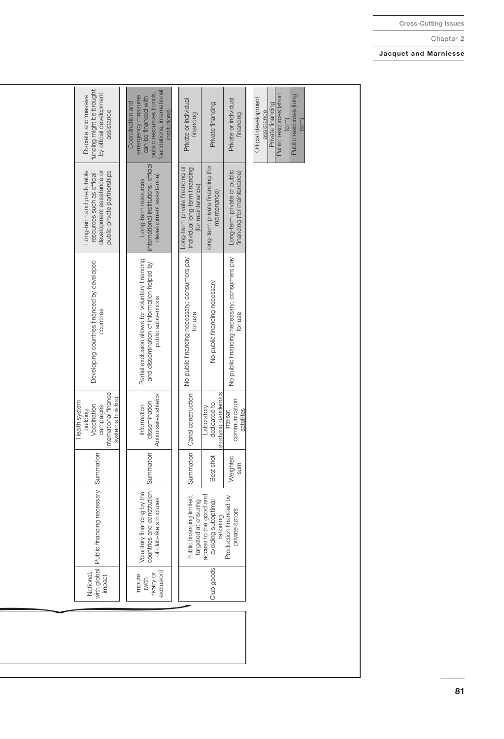| funding might be brought<br>by official development<br>Discrete and massive<br>assistance                           | foundations, international<br>public resources (funds,<br>emergency measures<br>can be financed with<br>Coordination and<br>institutions) | Private or individual<br>financing                                                    | Private financing                                          | Private or individual<br>financing                         | Public resources (short<br>Public resources (long<br>Official development<br>Private financing<br>assistance<br>term)<br>term) |
|---------------------------------------------------------------------------------------------------------------------|-------------------------------------------------------------------------------------------------------------------------------------------|---------------------------------------------------------------------------------------|------------------------------------------------------------|------------------------------------------------------------|--------------------------------------------------------------------------------------------------------------------------------|
| Long-term and predictable<br>public-private partnerships<br>development assistance or<br>resources such as official | international institutions, official<br>development assistance)<br>Long-term resources                                                    | Long-term private financing or<br>individual long-term financing<br>(for maintenance) | long-term private financing (for<br>maintenance)           | Long-term private or public<br>financing (for maintenance) |                                                                                                                                |
| Developing countries financed by developed<br>countries                                                             | Partial exclusion allows for voluntary financing<br>and dissemination of information helped by<br>public subventions                      | No public financing necessary; consumers pay<br>for use                               | No public financing necessary                              | No public financing necessary; consumers pay<br>for use    |                                                                                                                                |
| International finance<br>systems building<br>Health system<br>campaigns<br>Vaccination<br>building                  | Antimissiles shields<br>dissemination<br>Information                                                                                      | Summation   Canal construction                                                        | studying pandemics<br>dedicated to<br>Laboratory           | communication<br>satellites<br>Intelsat                    |                                                                                                                                |
|                                                                                                                     | Summation                                                                                                                                 |                                                                                       | Best shot                                                  | Weighted<br>sum                                            |                                                                                                                                |
| Public financing necessary Summation                                                                                | countries and constitution<br>Voluntary financing by the<br>of club-like structures                                                       | Public financing limited,<br>targeted at ensuring                                     | access to the good and<br>avoiding suboptimal<br>rationing | Production financed by<br>private actors                   |                                                                                                                                |
| with global<br>National,<br>impact                                                                                  | exclusion)<br>rivalry or<br>Impure<br>(with                                                                                               |                                                                                       | Club goods                                                 |                                                            |                                                                                                                                |
|                                                                                                                     |                                                                                                                                           |                                                                                       |                                                            |                                                            |                                                                                                                                |

**Jacquet and Marniesse**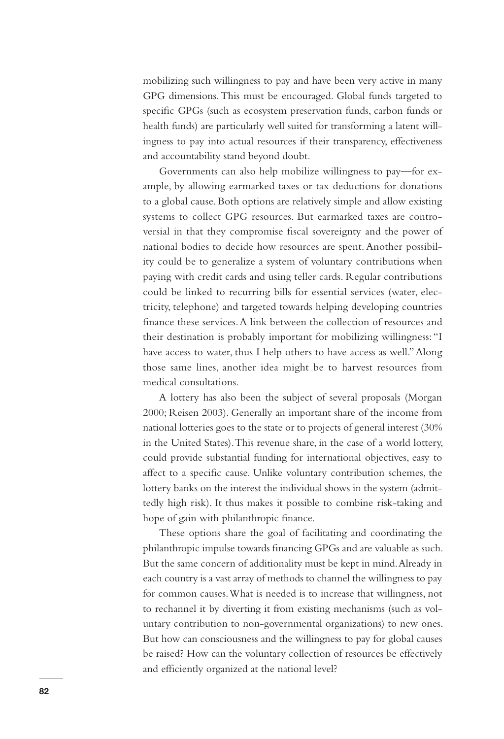mobilizing such willingness to pay and have been very active in many GPG dimensions. This must be encouraged. Global funds targeted to specific GPGs (such as ecosystem preservation funds, carbon funds or health funds) are particularly well suited for transforming a latent willingness to pay into actual resources if their transparency, effectiveness and accountability stand beyond doubt.

Governments can also help mobilize willingness to pay—for example, by allowing earmarked taxes or tax deductions for donations to a global cause. Both options are relatively simple and allow existing systems to collect GPG resources. But earmarked taxes are controversial in that they compromise fiscal sovereignty and the power of national bodies to decide how resources are spent. Another possibility could be to generalize a system of voluntary contributions when paying with credit cards and using teller cards. Regular contributions could be linked to recurring bills for essential services (water, electricity, telephone) and targeted towards helping developing countries finance these services. A link between the collection of resources and their destination is probably important for mobilizing willingness: "I have access to water, thus I help others to have access as well." Along those same lines, another idea might be to harvest resources from medical consultations.

A lottery has also been the subject of several proposals (Morgan 2000; Reisen 2003). Generally an important share of the income from national lotteries goes to the state or to projects of general interest (30% in the United States). This revenue share, in the case of a world lottery, could provide substantial funding for international objectives, easy to affect to a specific cause. Unlike voluntary contribution schemes, the lottery banks on the interest the individual shows in the system (admittedly high risk). It thus makes it possible to combine risk-taking and hope of gain with philanthropic finance.

These options share the goal of facilitating and coordinating the philanthropic impulse towards financing GPGs and are valuable as such. But the same concern of additionality must be kept in mind. Already in each country is a vast array of methods to channel the willingness to pay for common causes. What is needed is to increase that willingness, not to rechannel it by diverting it from existing mechanisms (such as voluntary contribution to non-governmental organizations) to new ones. But how can consciousness and the willingness to pay for global causes be raised? How can the voluntary collection of resources be effectively and efficiently organized at the national level?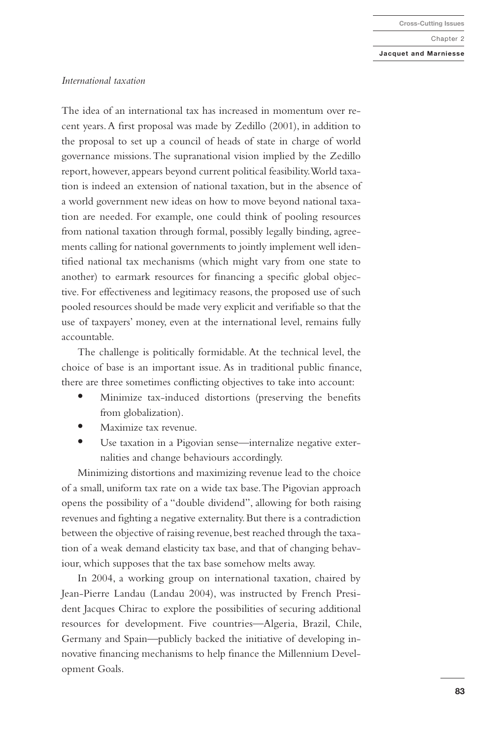**Cross-Cutting Issues**

Chapter 2

#### **Jacquet and Marniesse**

#### *International taxation*

The idea of an international tax has increased in momentum over recent years. A first proposal was made by Zedillo (2001), in addition to the proposal to set up a council of heads of state in charge of world governance missions. The supranational vision implied by the Zedillo report, however, appears beyond current political feasibility. World taxation is indeed an extension of national taxation, but in the absence of a world government new ideas on how to move beyond national taxation are needed. For example, one could think of pooling resources from national taxation through formal, possibly legally binding, agreements calling for national governments to jointly implement well identified national tax mechanisms (which might vary from one state to another) to earmark resources for financing a specific global objective. For effectiveness and legitimacy reasons, the proposed use of such pooled resources should be made very explicit and verifiable so that the use of taxpayers' money, even at the international level, remains fully accountable.

The challenge is politically formidable. At the technical level, the choice of base is an important issue. As in traditional public finance, there are three sometimes conflicting objectives to take into account:

- **•** Minimize tax-induced distortions (preserving the benefits from globalization).
- **•** Maximize tax revenue.
- **•** Use taxation in a Pigovian sense—internalize negative externalities and change behaviours accordingly.

Minimizing distortions and maximizing revenue lead to the choice of a small, uniform tax rate on a wide tax base. The Pigovian approach opens the possibility of a "double dividend", allowing for both raising revenues and fighting a negative externality. But there is a contradiction between the objective of raising revenue, best reached through the taxation of a weak demand elasticity tax base, and that of changing behaviour, which supposes that the tax base somehow melts away.

In 2004, a working group on international taxation, chaired by Jean-Pierre Landau (Landau 2004), was instructed by French President Jacques Chirac to explore the possibilities of securing additional resources for development. Five countries—Algeria, Brazil, Chile, Germany and Spain—publicly backed the initiative of developing innovative financing mechanisms to help finance the Millennium Development Goals.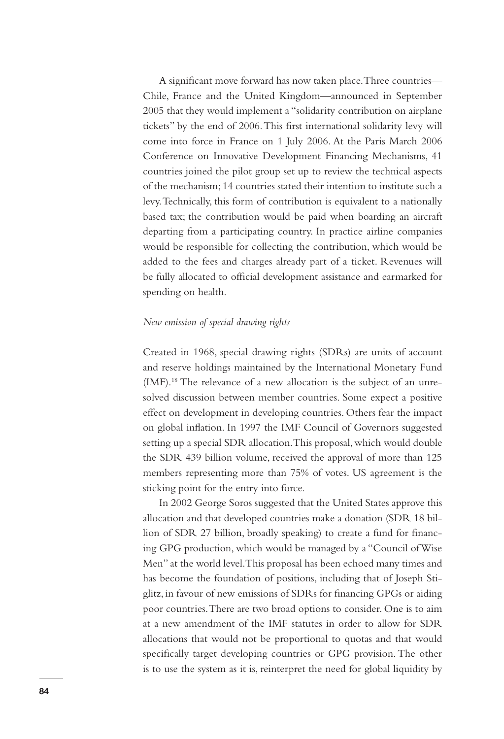A significant move forward has now taken place. Three countries— Chile, France and the United Kingdom—announced in September 2005 that they would implement a "solidarity contribution on airplane tickets" by the end of 2006. This first international solidarity levy will come into force in France on 1 July 2006. At the Paris March 2006 Conference on Innovative Development Financing Mechanisms, 41 countries joined the pilot group set up to review the technical aspects of the mechanism; 14 countries stated their intention to institute such a levy. Technically, this form of contribution is equivalent to a nationally based tax; the contribution would be paid when boarding an aircraft departing from a participating country. In practice airline companies would be responsible for collecting the contribution, which would be added to the fees and charges already part of a ticket. Revenues will be fully allocated to official development assistance and earmarked for spending on health.

## *New emission of special drawing rights*

Created in 1968, special drawing rights (SDRs) are units of account and reserve holdings maintained by the International Monetary Fund (IMF).18 The relevance of a new allocation is the subject of an unresolved discussion between member countries. Some expect a positive effect on development in developing countries. Others fear the impact on global inflation. In 1997 the IMF Council of Governors suggested setting up a special SDR allocation. This proposal, which would double the SDR 439 billion volume, received the approval of more than 125 members representing more than 75% of votes. US agreement is the sticking point for the entry into force.

In 2002 George Soros suggested that the United States approve this allocation and that developed countries make a donation (SDR 18 billion of SDR 27 billion, broadly speaking) to create a fund for financing GPG production, which would be managed by a "Council of Wise Men" at the world level. This proposal has been echoed many times and has become the foundation of positions, including that of Joseph Stiglitz, in favour of new emissions of SDRs for financing GPGs or aiding poor countries. There are two broad options to consider. One is to aim at a new amendment of the IMF statutes in order to allow for SDR allocations that would not be proportional to quotas and that would specifically target developing countries or GPG provision. The other is to use the system as it is, reinterpret the need for global liquidity by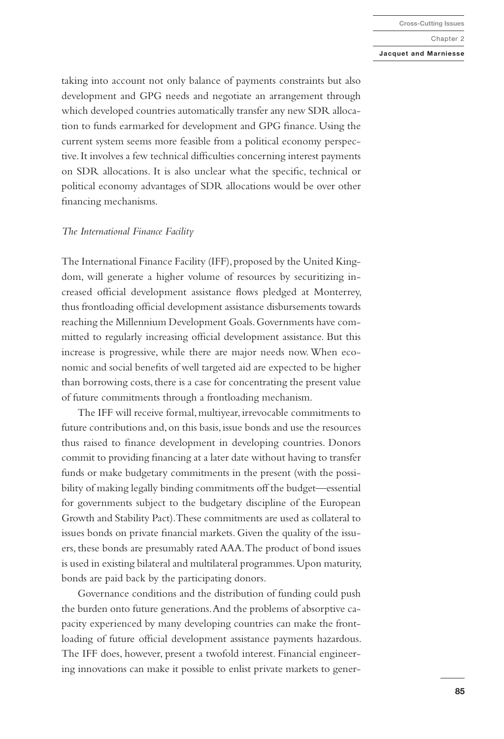#### **Jacquet and Marniesse**

taking into account not only balance of payments constraints but also development and GPG needs and negotiate an arrangement through which developed countries automatically transfer any new SDR allocation to funds earmarked for development and GPG finance. Using the current system seems more feasible from a political economy perspective. It involves a few technical difficulties concerning interest payments on SDR allocations. It is also unclear what the specific, technical or political economy advantages of SDR allocations would be over other financing mechanisms.

### *The International Finance Facility*

The International Finance Facility (IFF), proposed by the United Kingdom, will generate a higher volume of resources by securitizing increased official development assistance flows pledged at Monterrey, thus frontloading official development assistance disbursements towards reaching the Millennium Development Goals. Governments have committed to regularly increasing official development assistance. But this increase is progressive, while there are major needs now. When economic and social benefits of well targeted aid are expected to be higher than borrowing costs, there is a case for concentrating the present value of future commitments through a frontloading mechanism.

The IFF will receive formal, multiyear, irrevocable commitments to future contributions and, on this basis, issue bonds and use the resources thus raised to finance development in developing countries. Donors commit to providing financing at a later date without having to transfer funds or make budgetary commitments in the present (with the possibility of making legally binding commitments off the budget—essential for governments subject to the budgetary discipline of the European Growth and Stability Pact). These commitments are used as collateral to issues bonds on private financial markets. Given the quality of the issuers, these bonds are presumably rated AAA. The product of bond issues is used in existing bilateral and multilateral programmes. Upon maturity, bonds are paid back by the participating donors.

Governance conditions and the distribution of funding could push the burden onto future generations. And the problems of absorptive capacity experienced by many developing countries can make the frontloading of future official development assistance payments hazardous. The IFF does, however, present a twofold interest. Financial engineering innovations can make it possible to enlist private markets to gener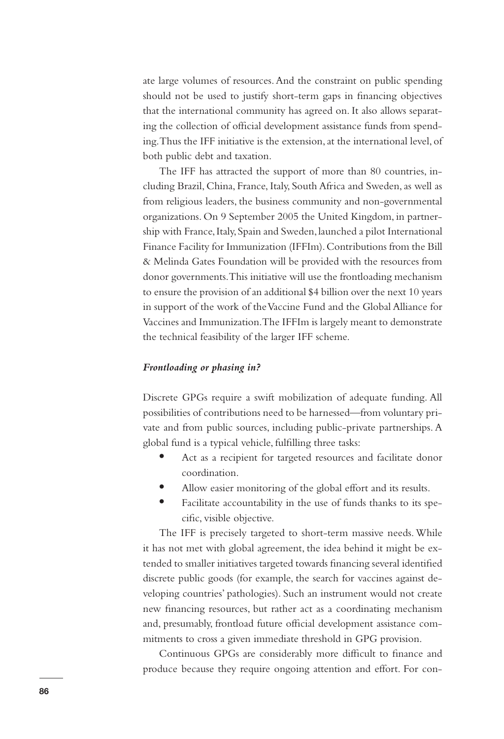ate large volumes of resources. And the constraint on public spending should not be used to justify short-term gaps in financing objectives that the international community has agreed on. It also allows separating the collection of official development assistance funds from spending. Thus the IFF initiative is the extension, at the international level, of both public debt and taxation.

The IFF has attracted the support of more than 80 countries, including Brazil, China, France, Italy, South Africa and Sweden, as well as from religious leaders, the business community and non-governmental organizations. On 9 September 2005 the United Kingdom, in partnership with France, Italy, Spain and Sweden, launched a pilot International Finance Facility for Immunization (IFFIm). Contributions from the Bill & Melinda Gates Foundation will be provided with the resources from donor governments. This initiative will use the frontloading mechanism to ensure the provision of an additional \$4 billion over the next 10 years in support of the work of the Vaccine Fund and the Global Alliance for Vaccines and Immunization. The IFFIm is largely meant to demonstrate the technical feasibility of the larger IFF scheme.

# *Frontloading or phasing in?*

Discrete GPGs require a swift mobilization of adequate funding. All possibilities of contributions need to be harnessed—from voluntary private and from public sources, including public-private partnerships. A global fund is a typical vehicle, fulfilling three tasks:

- **•** Act as a recipient for targeted resources and facilitate donor coordination.
- **•** Allow easier monitoring of the global effort and its results.
- **•** Facilitate accountability in the use of funds thanks to its specific, visible objective.

The IFF is precisely targeted to short-term massive needs. While it has not met with global agreement, the idea behind it might be extended to smaller initiatives targeted towards financing several identified discrete public goods (for example, the search for vaccines against developing countries' pathologies). Such an instrument would not create new financing resources, but rather act as a coordinating mechanism and, presumably, frontload future official development assistance commitments to cross a given immediate threshold in GPG provision.

Continuous GPGs are considerably more difficult to finance and produce because they require ongoing attention and effort. For con-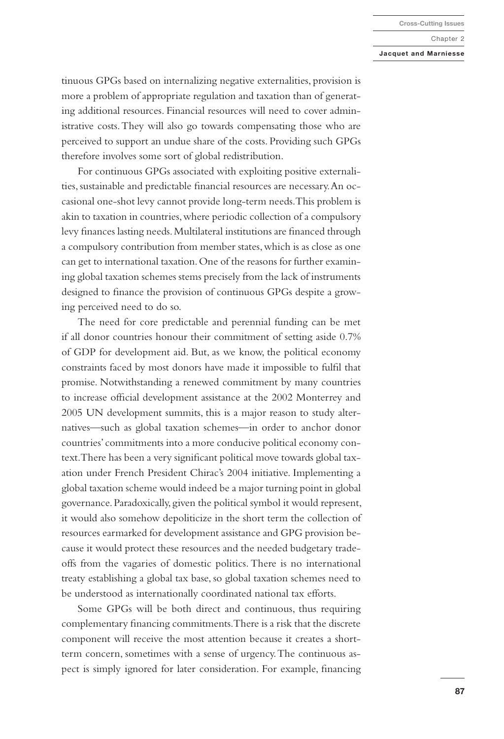#### **Jacquet and Marniesse**

tinuous GPGs based on internalizing negative externalities, provision is more a problem of appropriate regulation and taxation than of generating additional resources. Financial resources will need to cover administrative costs. They will also go towards compensating those who are perceived to support an undue share of the costs. Providing such GPGs therefore involves some sort of global redistribution.

For continuous GPGs associated with exploiting positive externalities, sustainable and predictable financial resources are necessary. An occasional one-shot levy cannot provide long-term needs. This problem is akin to taxation in countries, where periodic collection of a compulsory levy finances lasting needs. Multilateral institutions are financed through a compulsory contribution from member states, which is as close as one can get to international taxation. One of the reasons for further examining global taxation schemes stems precisely from the lack of instruments designed to finance the provision of continuous GPGs despite a growing perceived need to do so.

The need for core predictable and perennial funding can be met if all donor countries honour their commitment of setting aside 0.7% of GDP for development aid. But, as we know, the political economy constraints faced by most donors have made it impossible to fulfil that promise. Notwithstanding a renewed commitment by many countries to increase official development assistance at the 2002 Monterrey and 2005 UN development summits, this is a major reason to study alternatives—such as global taxation schemes—in order to anchor donor countries' commitments into a more conducive political economy context. There has been a very significant political move towards global taxation under French President Chirac's 2004 initiative. Implementing a global taxation scheme would indeed be a major turning point in global governance. Paradoxically, given the political symbol it would represent, it would also somehow depoliticize in the short term the collection of resources earmarked for development assistance and GPG provision because it would protect these resources and the needed budgetary tradeoffs from the vagaries of domestic politics. There is no international treaty establishing a global tax base, so global taxation schemes need to be understood as internationally coordinated national tax efforts.

Some GPGs will be both direct and continuous, thus requiring complementary financing commitments. There is a risk that the discrete component will receive the most attention because it creates a shortterm concern, sometimes with a sense of urgency. The continuous aspect is simply ignored for later consideration. For example, financing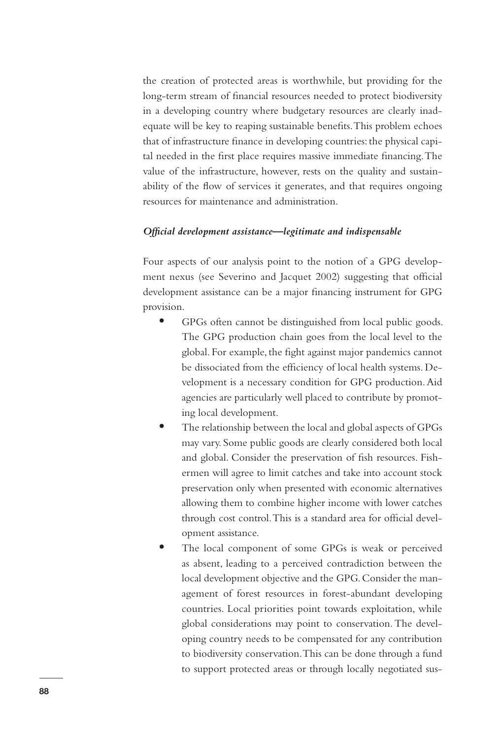the creation of protected areas is worthwhile, but providing for the long-term stream of financial resources needed to protect biodiversity in a developing country where budgetary resources are clearly inadequate will be key to reaping sustainable benefits. This problem echoes that of infrastructure finance in developing countries: the physical capital needed in the first place requires massive immediate financing. The value of the infrastructure, however, rests on the quality and sustainability of the flow of services it generates, and that requires ongoing resources for maintenance and administration.

## *Official development assistance—legitimate and indispensable*

Four aspects of our analysis point to the notion of a GPG development nexus (see Severino and Jacquet 2002) suggesting that official development assistance can be a major financing instrument for GPG provision.

- **•** GPGs often cannot be distinguished from local public goods. The GPG production chain goes from the local level to the global. For example, the fight against major pandemics cannot be dissociated from the efficiency of local health systems. Development is a necessary condition for GPG production. Aid agencies are particularly well placed to contribute by promoting local development.
- **•** The relationship between the local and global aspects of GPGs may vary. Some public goods are clearly considered both local and global. Consider the preservation of fish resources. Fishermen will agree to limit catches and take into account stock preservation only when presented with economic alternatives allowing them to combine higher income with lower catches through cost control. This is a standard area for official development assistance.
- **•** The local component of some GPGs is weak or perceived as absent, leading to a perceived contradiction between the local development objective and the GPG. Consider the management of forest resources in forest-abundant developing countries. Local priorities point towards exploitation, while global considerations may point to conservation. The developing country needs to be compensated for any contribution to biodiversity conservation. This can be done through a fund to support protected areas or through locally negotiated sus-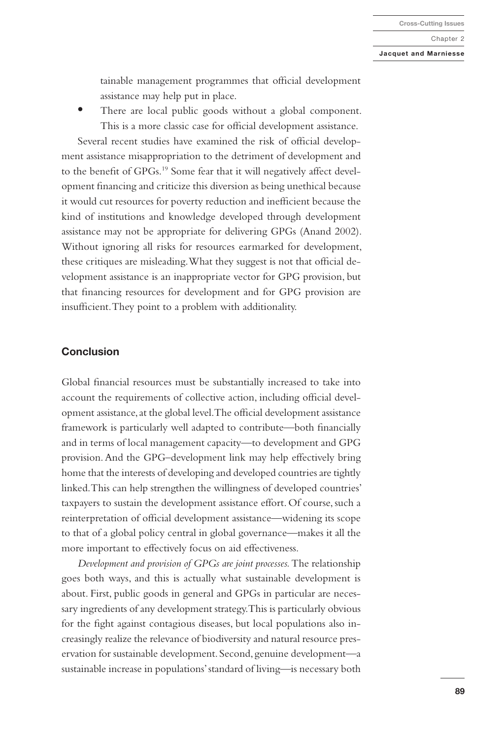#### **Jacquet and Marniesse**

tainable management programmes that official development assistance may help put in place.

**•** There are local public goods without a global component. This is a more classic case for official development assistance.

Several recent studies have examined the risk of official development assistance misappropriation to the detriment of development and to the benefit of GPGs.<sup>19</sup> Some fear that it will negatively affect development financing and criticize this diversion as being unethical because it would cut resources for poverty reduction and inefficient because the kind of institutions and knowledge developed through development assistance may not be appropriate for delivering GPGs (Anand 2002). Without ignoring all risks for resources earmarked for development, these critiques are misleading. What they suggest is not that official development assistance is an inappropriate vector for GPG provision, but that financing resources for development and for GPG provision are insufficient. They point to a problem with additionality.

# **Conclusion**

Global financial resources must be substantially increased to take into account the requirements of collective action, including official development assistance, at the global level. The official development assistance framework is particularly well adapted to contribute—both financially and in terms of local management capacity—to development and GPG provision. And the GPG–development link may help effectively bring home that the interests of developing and developed countries are tightly linked. This can help strengthen the willingness of developed countries' taxpayers to sustain the development assistance effort. Of course, such a reinterpretation of official development assistance—widening its scope to that of a global policy central in global governance—makes it all the more important to effectively focus on aid effectiveness.

*Development and provision of GPGs are joint processes.* The relationship goes both ways, and this is actually what sustainable development is about. First, public goods in general and GPGs in particular are necessary ingredients of any development strategy. This is particularly obvious for the fight against contagious diseases, but local populations also increasingly realize the relevance of biodiversity and natural resource preservation for sustainable development. Second, genuine development—a sustainable increase in populations' standard of living—is necessary both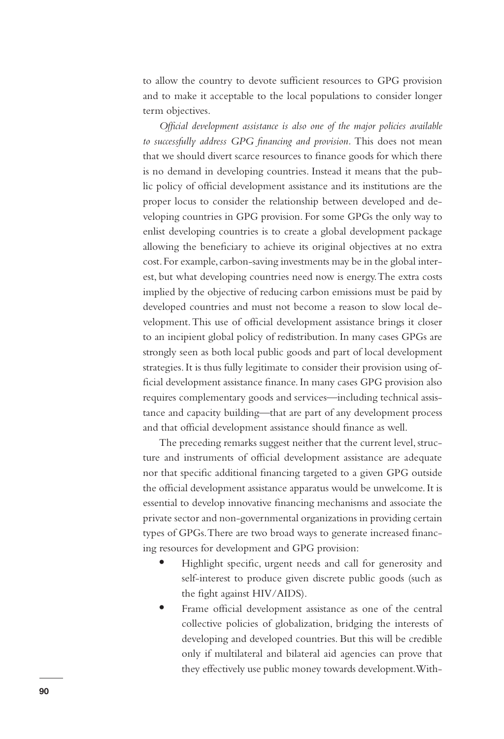to allow the country to devote sufficient resources to GPG provision and to make it acceptable to the local populations to consider longer term objectives.

*Official development assistance is also one of the major policies available to successfully address GPG financing and provision.* This does not mean that we should divert scarce resources to finance goods for which there is no demand in developing countries. Instead it means that the public policy of official development assistance and its institutions are the proper locus to consider the relationship between developed and developing countries in GPG provision. For some GPGs the only way to enlist developing countries is to create a global development package allowing the beneficiary to achieve its original objectives at no extra cost. For example, carbon-saving investments may be in the global interest, but what developing countries need now is energy. The extra costs implied by the objective of reducing carbon emissions must be paid by developed countries and must not become a reason to slow local development. This use of official development assistance brings it closer to an incipient global policy of redistribution. In many cases GPGs are strongly seen as both local public goods and part of local development strategies. It is thus fully legitimate to consider their provision using official development assistance finance. In many cases GPG provision also requires complementary goods and services—including technical assistance and capacity building—that are part of any development process and that official development assistance should finance as well.

The preceding remarks suggest neither that the current level, structure and instruments of official development assistance are adequate nor that specific additional financing targeted to a given GPG outside the official development assistance apparatus would be unwelcome. It is essential to develop innovative financing mechanisms and associate the private sector and non-governmental organizations in providing certain types of GPGs. There are two broad ways to generate increased financing resources for development and GPG provision:

- **•** Highlight specific, urgent needs and call for generosity and self-interest to produce given discrete public goods (such as the fight against HIV/AIDS).
- **•** Frame official development assistance as one of the central collective policies of globalization, bridging the interests of developing and developed countries. But this will be credible only if multilateral and bilateral aid agencies can prove that they effectively use public money towards development. With-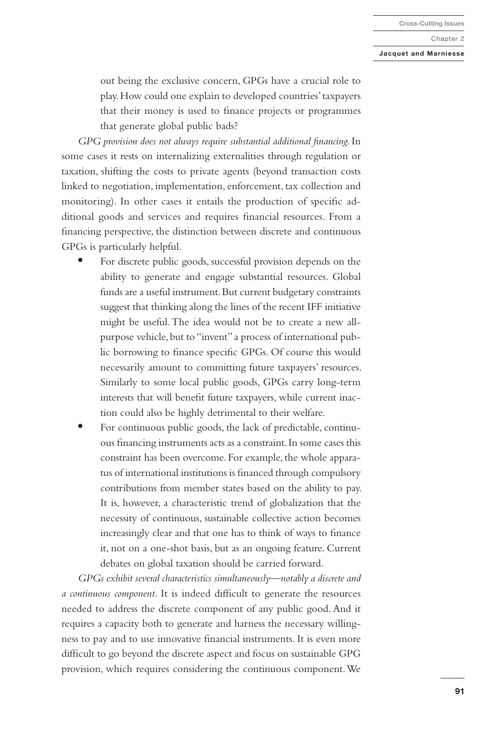#### **Jacquet and Marniesse**

out being the exclusive concern, GPGs have a crucial role to play. How could one explain to developed countries' taxpayers that their money is used to finance projects or programmes that generate global public bads?

*GPG provision does not always require substantial additional financing.* In some cases it rests on internalizing externalities through regulation or taxation, shifting the costs to private agents (beyond transaction costs linked to negotiation, implementation, enforcement, tax collection and monitoring). In other cases it entails the production of specific additional goods and services and requires financial resources. From a financing perspective, the distinction between discrete and continuous GPGs is particularly helpful.

- **•** For discrete public goods, successful provision depends on the ability to generate and engage substantial resources. Global funds are a useful instrument. But current budgetary constraints suggest that thinking along the lines of the recent IFF initiative might be useful. The idea would not be to create a new allpurpose vehicle, but to "invent" a process of international public borrowing to finance specific GPGs. Of course this would necessarily amount to committing future taxpayers' resources. Similarly to some local public goods, GPGs carry long-term interests that will benefit future taxpayers, while current inaction could also be highly detrimental to their welfare.
- **•** For continuous public goods, the lack of predictable, continuous financing instruments acts as a constraint. In some cases this constraint has been overcome. For example, the whole apparatus of international institutions is financed through compulsory contributions from member states based on the ability to pay. It is, however, a characteristic trend of globalization that the necessity of continuous, sustainable collective action becomes increasingly clear and that one has to think of ways to finance it, not on a one-shot basis, but as an ongoing feature. Current debates on global taxation should be carried forward.

*GPGs exhibit several characteristics simultaneously—notably a discrete and a continuous component.* It is indeed difficult to generate the resources needed to address the discrete component of any public good. And it requires a capacity both to generate and harness the necessary willingness to pay and to use innovative financial instruments. It is even more difficult to go beyond the discrete aspect and focus on sustainable GPG provision, which requires considering the continuous component. We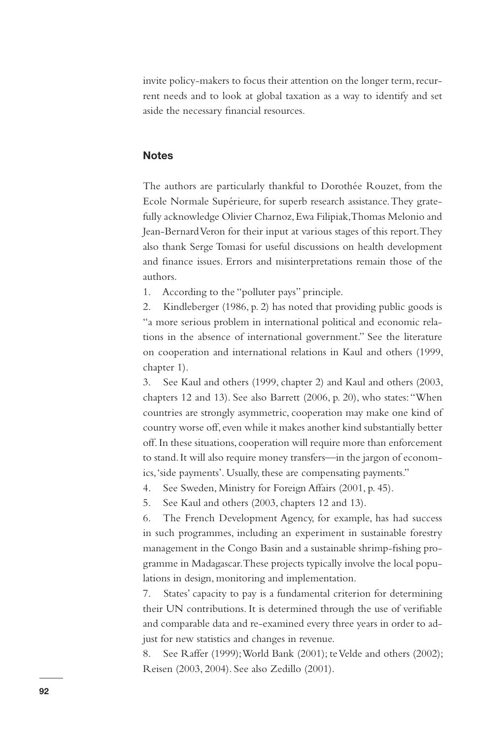invite policy-makers to focus their attention on the longer term, recurrent needs and to look at global taxation as a way to identify and set aside the necessary financial resources.

# **Notes**

The authors are particularly thankful to Dorothée Rouzet, from the Ecole Normale Supérieure, for superb research assistance. They gratefully acknowledge Olivier Charnoz, Ewa Filipiak, Thomas Melonio and Jean-Bernard Veron for their input at various stages of this report. They also thank Serge Tomasi for useful discussions on health development and finance issues. Errors and misinterpretations remain those of the authors.

1. According to the "polluter pays" principle.

2. Kindleberger (1986, p. 2) has noted that providing public goods is "a more serious problem in international political and economic relations in the absence of international government." See the literature on cooperation and international relations in Kaul and others (1999, chapter 1).

3. See Kaul and others (1999, chapter 2) and Kaul and others (2003, chapters 12 and 13). See also Barrett (2006, p. 20), who states: "When countries are strongly asymmetric, cooperation may make one kind of country worse off, even while it makes another kind substantially better off. In these situations, cooperation will require more than enforcement to stand. It will also require money transfers—in the jargon of economics, 'side payments'. Usually, these are compensating payments."

4. See Sweden, Ministry for Foreign Affairs (2001, p. 45).

5. See Kaul and others (2003, chapters 12 and 13).

6. The French Development Agency, for example, has had success in such programmes, including an experiment in sustainable forestry management in the Congo Basin and a sustainable shrimp-fishing programme in Madagascar. These projects typically involve the local populations in design, monitoring and implementation.

7. States' capacity to pay is a fundamental criterion for determining their UN contributions. It is determined through the use of verifiable and comparable data and re-examined every three years in order to adjust for new statistics and changes in revenue.

8. See Raffer (1999); World Bank (2001); te Velde and others (2002); Reisen (2003, 2004). See also Zedillo (2001).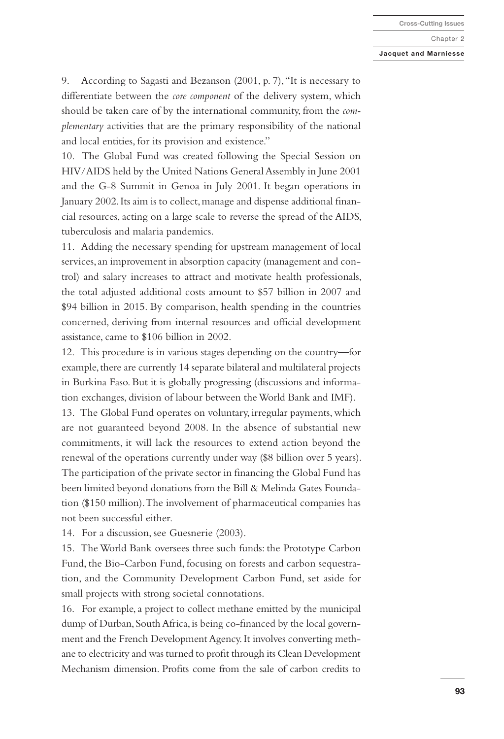#### **Jacquet and Marniesse**

9. According to Sagasti and Bezanson (2001, p. 7), "It is necessary to differentiate between the *core component* of the delivery system, which should be taken care of by the international community, from the *complementary* activities that are the primary responsibility of the national and local entities, for its provision and existence."

10. The Global Fund was created following the Special Session on HIV/AIDS held by the United Nations General Assembly in June 2001 and the G-8 Summit in Genoa in July 2001. It began operations in January 2002. Its aim is to collect, manage and dispense additional financial resources, acting on a large scale to reverse the spread of the AIDS, tuberculosis and malaria pandemics.

11. Adding the necessary spending for upstream management of local services, an improvement in absorption capacity (management and control) and salary increases to attract and motivate health professionals, the total adjusted additional costs amount to \$57 billion in 2007 and \$94 billion in 2015. By comparison, health spending in the countries concerned, deriving from internal resources and official development assistance, came to \$106 billion in 2002.

12. This procedure is in various stages depending on the country—for example, there are currently 14 separate bilateral and multilateral projects in Burkina Faso. But it is globally progressing (discussions and information exchanges, division of labour between the World Bank and IMF).

13. The Global Fund operates on voluntary, irregular payments, which are not guaranteed beyond 2008. In the absence of substantial new commitments, it will lack the resources to extend action beyond the renewal of the operations currently under way (\$8 billion over 5 years). The participation of the private sector in financing the Global Fund has been limited beyond donations from the Bill & Melinda Gates Foundation (\$150 million). The involvement of pharmaceutical companies has not been successful either.

14. For a discussion, see Guesnerie (2003).

15. The World Bank oversees three such funds: the Prototype Carbon Fund, the Bio-Carbon Fund, focusing on forests and carbon sequestration, and the Community Development Carbon Fund, set aside for small projects with strong societal connotations.

16. For example, a project to collect methane emitted by the municipal dump of Durban, South Africa, is being co-financed by the local government and the French Development Agency. It involves converting methane to electricity and was turned to profit through its Clean Development Mechanism dimension. Profits come from the sale of carbon credits to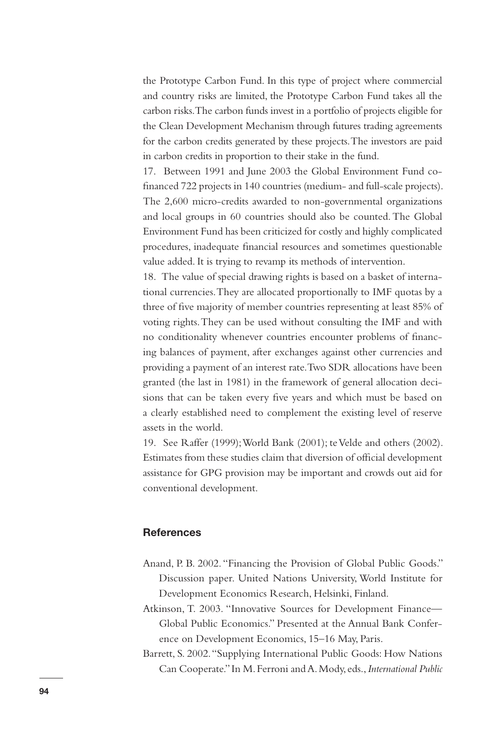the Prototype Carbon Fund. In this type of project where commercial and country risks are limited, the Prototype Carbon Fund takes all the carbon risks. The carbon funds invest in a portfolio of projects eligible for the Clean Development Mechanism through futures trading agreements for the carbon credits generated by these projects. The investors are paid in carbon credits in proportion to their stake in the fund.

17. Between 1991 and June 2003 the Global Environment Fund cofinanced 722 projects in 140 countries (medium- and full-scale projects). The 2,600 micro-credits awarded to non-governmental organizations and local groups in 60 countries should also be counted. The Global Environment Fund has been criticized for costly and highly complicated procedures, inadequate financial resources and sometimes questionable value added. It is trying to revamp its methods of intervention.

18. The value of special drawing rights is based on a basket of international currencies. They are allocated proportionally to IMF quotas by a three of five majority of member countries representing at least 85% of voting rights. They can be used without consulting the IMF and with no conditionality whenever countries encounter problems of financing balances of payment, after exchanges against other currencies and providing a payment of an interest rate. Two SDR allocations have been granted (the last in 1981) in the framework of general allocation decisions that can be taken every five years and which must be based on a clearly established need to complement the existing level of reserve assets in the world.

19. See Raffer (1999); World Bank (2001); te Velde and others (2002). Estimates from these studies claim that diversion of official development assistance for GPG provision may be important and crowds out aid for conventional development.

# **References**

- Anand, P. B. 2002. "Financing the Provision of Global Public Goods." Discussion paper. United Nations University, World Institute for Development Economics Research, Helsinki, Finland.
- Atkinson, T. 2003. "Innovative Sources for Development Finance— Global Public Economics." Presented at the Annual Bank Conference on Development Economics, 15–16 May, Paris.
- Barrett, S. 2002. "Supplying International Public Goods: How Nations Can Cooperate." In M. Ferroni and A. Mody, eds., *International Public*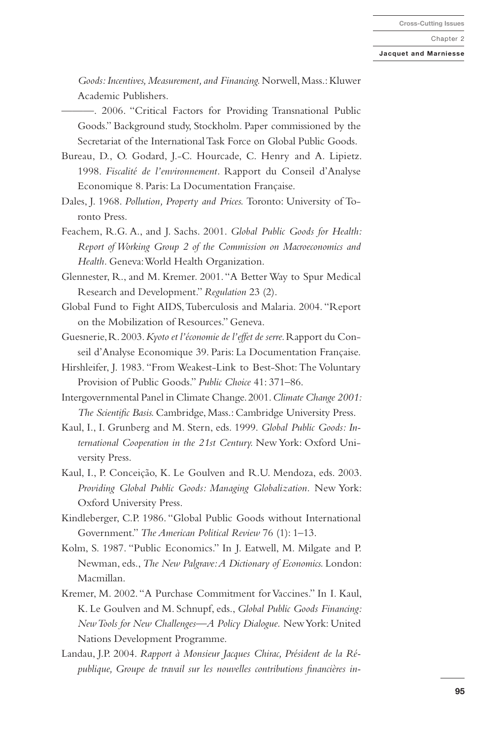#### **Jacquet and Marniesse**

*Goods: Incentives, Measurement, and Financing.* Norwell, Mass.: Kluwer Academic Publishers.

———. 2006. "Critical Factors for Providing Transnational Public Goods." Background study, Stockholm. Paper commissioned by the Secretariat of the International Task Force on Global Public Goods.

- Bureau, D., O. Godard, J.-C. Hourcade, C. Henry and A. Lipietz. 1998. *Fiscalité de l'environnement.* Rapport du Conseil d'Analyse Economique 8. Paris: La Documentation Française.
- Dales, J. 1968. *Pollution, Property and Prices.* Toronto: University of Toronto Press.
- Feachem, R.G. A., and J. Sachs. 2001. *Global Public Goods for Health: Report of Working Group 2 of the Commission on Macroeconomics and Health.* Geneva: World Health Organization.
- Glennester, R., and M. Kremer. 2001. "A Better Way to Spur Medical Research and Development." *Regulation* 23 (2).
- Global Fund to Fight AIDS, Tuberculosis and Malaria. 2004. "Report on the Mobilization of Resources." Geneva.
- Guesnerie, R. 2003. *Kyoto et l'économie de l'effet de serre.* Rapport du Conseil d'Analyse Economique 39. Paris: La Documentation Française.
- Hirshleifer, J. 1983. "From Weakest-Link to Best-Shot: The Voluntary Provision of Public Goods." *Public Choice* 41: 371–86.
- Intergovernmental Panel in Climate Change. 2001. *Climate Change 2001: The Scientific Basis.* Cambridge, Mass.: Cambridge University Press.
- Kaul, I., I. Grunberg and M. Stern, eds. 1999. *Global Public Goods: International Cooperation in the 21st Century.* New York: Oxford University Press.
- Kaul, I., P. Conceição, K. Le Goulven and R.U. Mendoza, eds. 2003. *Providing Global Public Goods: Managing Globalization.* New York: Oxford University Press.
- Kindleberger, C.P. 1986. "Global Public Goods without International Government." *The American Political Review* 76 (1): 1–13.
- Kolm, S. 1987. "Public Economics." In J. Eatwell, M. Milgate and P. Newman, eds., *The New Palgrave: A Dictionary of Economics.* London: Macmillan.
- Kremer, M. 2002. "A Purchase Commitment for Vaccines." In I. Kaul, K. Le Goulven and M. Schnupf, eds., *Global Public Goods Financing: New Tools for New Challenges—A Policy Dialogue.* New York: United Nations Development Programme.
- Landau, J.P. 2004. *Rapport à Monsieur Jacques Chirac, Président de la République, Groupe de travail sur les nouvelles contributions financières in-*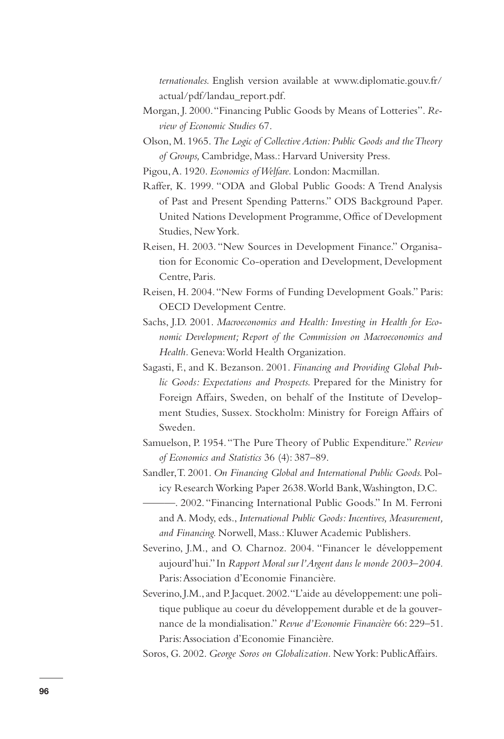*ternationales.* English version available at www.diplomatie.gouv.fr/ actual/pdf/landau\_report.pdf.

- Morgan, J. 2000. "Financing Public Goods by Means of Lotteries". *Review of Economic Studies* 67.
- Olson, M. 1965. *The Logic of Collective Action: Public Goods and the Theory of Groups,* Cambridge, Mass.: Harvard University Press.

Pigou, A. 1920. *Economics of Welfare.* London: Macmillan.

- Raffer, K. 1999. "ODA and Global Public Goods: A Trend Analysis of Past and Present Spending Patterns." ODS Background Paper. United Nations Development Programme, Office of Development Studies, New York.
- Reisen, H. 2003. "New Sources in Development Finance." Organisation for Economic Co-operation and Development, Development Centre, Paris.
- Reisen, H. 2004. "New Forms of Funding Development Goals." Paris: OECD Development Centre.
- Sachs, J.D. 2001. *Macroeconomics and Health: Investing in Health for Economic Development; Report of the Commission on Macroeconomics and Health.* Geneva: World Health Organization.
- Sagasti, F., and K. Bezanson. 2001. *Financing and Providing Global Public Goods: Expectations and Prospects.* Prepared for the Ministry for Foreign Affairs, Sweden, on behalf of the Institute of Development Studies, Sussex. Stockholm: Ministry for Foreign Affairs of Sweden.
- Samuelson, P. 1954. "The Pure Theory of Public Expenditure." *Review of Economics and Statistics* 36 (4): 387–89.
- Sandler, T. 2001. *On Financing Global and International Public Goods.* Policy Research Working Paper 2638. World Bank, Washington, D.C.
- ———. 2002. "Financing International Public Goods." In M. Ferroni and A. Mody, eds., *International Public Goods: Incentives, Measurement, and Financing.* Norwell, Mass.: Kluwer Academic Publishers.
- Severino, J.M., and O. Charnoz. 2004. "Financer le développement aujourd'hui." In *Rapport Moral sur l'Argent dans le monde 2003–2004.*  Paris: Association d'Economie Financière.
- Severino, J.M., and P. Jacquet. 2002. "L'aide au développement: une politique publique au coeur du développement durable et de la gouvernance de la mondialisation." *Revue d'Economie Financière* 66: 229–51. Paris: Association d'Economie Financière.
- Soros, G. 2002. *George Soros on Globalization.* New York: PublicAffairs.